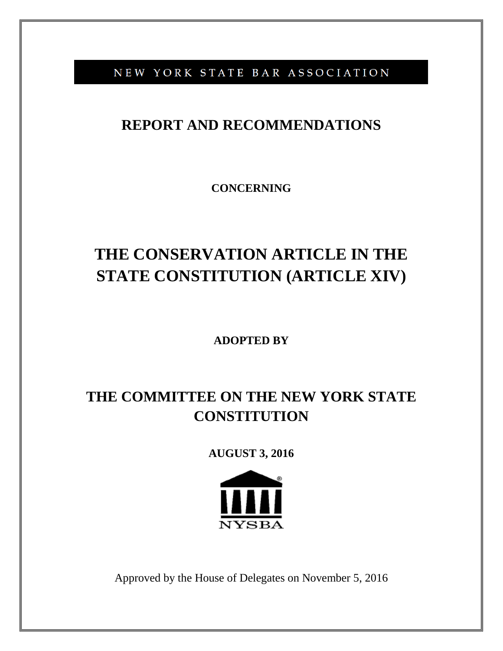NEW YORK STATE BAR ASSOCIATION

## **REPORT AND RECOMMENDATIONS**

**CONCERNING** 

# **THE CONSERVATION ARTICLE IN THE STATE CONSTITUTION (ARTICLE XIV)**

**ADOPTED BY**

# **THE COMMITTEE ON THE NEW YORK STATE CONSTITUTION**

**AUGUST 3, 2016** 



Approved by the House of Delegates on November 5, 2016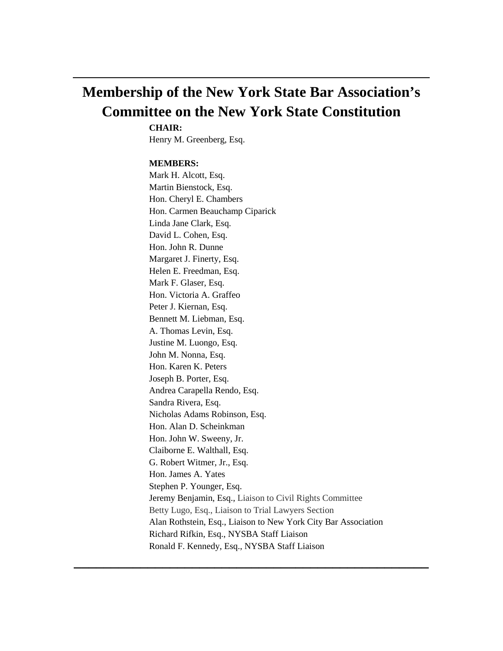## **Membership of the New York State Bar Association's Committee on the New York State Constitution**

#### **CHAIR:**

Henry M. Greenberg, Esq.

#### **MEMBERS:**

Mark H. Alcott, Esq. Martin Bienstock, Esq. Hon. Cheryl E. Chambers Hon. Carmen Beauchamp Ciparick Linda Jane Clark, Esq. David L. Cohen, Esq. Hon. John R. Dunne Margaret J. Finerty, Esq. Helen E. Freedman, Esq. Mark F. Glaser, Esq. Hon. Victoria A. Graffeo Peter J. Kiernan, Esq. Bennett M. Liebman, Esq. A. Thomas Levin, Esq. Justine M. Luongo, Esq. John M. Nonna, Esq. Hon. Karen K. Peters Joseph B. Porter, Esq. Andrea Carapella Rendo, Esq. Sandra Rivera, Esq. Nicholas Adams Robinson, Esq. Hon. Alan D. Scheinkman Hon. John W. Sweeny, Jr. Claiborne E. Walthall, Esq. G. Robert Witmer, Jr., Esq. Hon. James A. Yates Stephen P. Younger, Esq. Jeremy Benjamin, Esq., Liaison to Civil Rights Committee Betty Lugo, Esq., Liaison to Trial Lawyers Section Alan Rothstein, Esq., Liaison to New York City Bar Association Richard Rifkin, Esq., NYSBA Staff Liaison Ronald F. Kennedy, Esq., NYSBA Staff Liaison

**\_\_\_\_\_\_\_\_\_\_\_\_\_\_\_\_\_\_\_\_\_\_\_\_\_\_\_\_\_\_\_\_\_\_\_\_\_\_\_\_\_\_\_\_\_\_\_\_**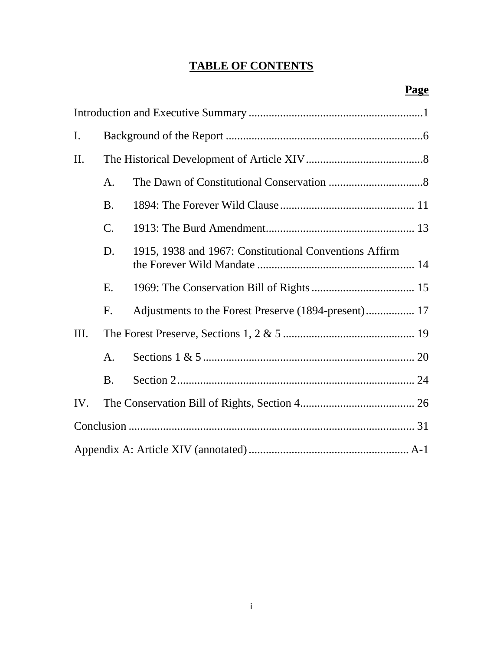## **TABLE OF CONTENTS**

| $\mathbf{I}$ .  |                 |                                                        |
|-----------------|-----------------|--------------------------------------------------------|
| $\mathbf{II}$ . |                 |                                                        |
|                 | A.              |                                                        |
|                 | <b>B.</b>       |                                                        |
|                 | $\mathcal{C}$ . |                                                        |
|                 | D.              | 1915, 1938 and 1967: Constitutional Conventions Affirm |
|                 | E.              |                                                        |
|                 | F <sub>r</sub>  | Adjustments to the Forest Preserve (1894-present) 17   |
| III.            |                 |                                                        |
|                 | A.              |                                                        |
|                 | <b>B.</b>       |                                                        |
| IV.             |                 |                                                        |
|                 |                 |                                                        |
|                 |                 |                                                        |

## **Page**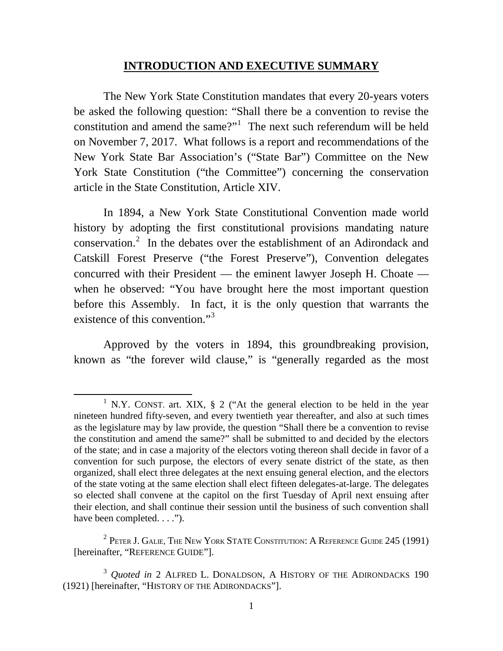#### **INTRODUCTION AND EXECUTIVE SUMMARY**

The New York State Constitution mandates that every 20-years voters be asked the following question: "Shall there be a convention to revise the constitution and amend the same?"<sup>[1](#page-3-0)</sup> The next such referendum will be held on November 7, 2017. What follows is a report and recommendations of the New York State Bar Association's ("State Bar") Committee on the New York State Constitution ("the Committee") concerning the conservation article in the State Constitution, Article XIV.

In 1894, a New York State Constitutional Convention made world history by adopting the first constitutional provisions mandating nature conservation.<sup>[2](#page-3-1)</sup> In the debates over the establishment of an Adirondack and Catskill Forest Preserve ("the Forest Preserve"), Convention delegates concurred with their President — the eminent lawyer Joseph H. Choate when he observed: "You have brought here the most important question before this Assembly. In fact, it is the only question that warrants the existence of this convention."<sup>[3](#page-3-2)</sup>

Approved by the voters in 1894, this groundbreaking provision, known as "the forever wild clause," is "generally regarded as the most

<span id="page-3-0"></span> $1$  N.Y. CONST. art. XIX, § 2 ("At the general election to be held in the year nineteen hundred fifty-seven, and every twentieth year thereafter, and also at such times as the legislature may by law provide, the question "Shall there be a convention to revise the constitution and amend the same?" shall be submitted to and decided by the electors of the state; and in case a majority of the electors voting thereon shall decide in favor of a convention for such purpose, the electors of every senate district of the state, as then organized, shall elect three delegates at the next ensuing general election, and the electors of the state voting at the same election shall elect fifteen delegates-at-large. The delegates so elected shall convene at the capitol on the first Tuesday of April next ensuing after their election, and shall continue their session until the business of such convention shall have been completed. . . .").

<sup>&</sup>lt;sup>2</sup> PETER J. GALIE, THE NEW YORK STATE CONSTITUTION: A REFERENCE GUIDE  $245$  (1991) [hereinafter, "REFERENCE GUIDE"].

<span id="page-3-2"></span><span id="page-3-1"></span><sup>&</sup>lt;sup>3</sup> *Quoted in* 2 ALFRED L. DONALDSON, A HISTORY OF THE ADIRONDACKS 190 (1921) [hereinafter, "HISTORY OF THE ADIRONDACKS"].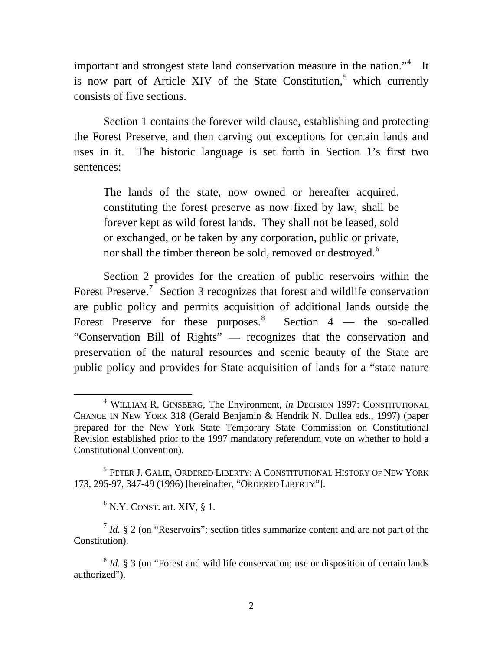important and strongest state land conservation measure in the nation."<sup>[4](#page-4-0)</sup> It is now part of Article XIV of the State Constitution, $5$  which currently consists of five sections.

Section 1 contains the forever wild clause, establishing and protecting the Forest Preserve, and then carving out exceptions for certain lands and uses in it. The historic language is set forth in Section 1's first two sentences:

The lands of the state, now owned or hereafter acquired, constituting the forest preserve as now fixed by law, shall be forever kept as wild forest lands. They shall not be leased, sold or exchanged, or be taken by any corporation, public or private, nor shall the timber thereon be sold, removed or destroyed.<sup>[6](#page-4-2)</sup>

Section 2 provides for the creation of public reservoirs within the Forest Preserve.<sup>[7](#page-4-3)</sup> Section 3 recognizes that forest and wildlife conservation are public policy and permits acquisition of additional lands outside the Forest Preserve for these purposes.<sup>[8](#page-4-4)</sup> Section 4 — the so-called "Conservation Bill of Rights" — recognizes that the conservation and preservation of the natural resources and scenic beauty of the State are public policy and provides for State acquisition of lands for a "state nature

 $6$  N.Y. CONST. art. XIV, § 1.

<span id="page-4-0"></span><sup>4</sup> WILLIAM R. GINSBERG, The Environment, *in* DECISION 1997: CONSTITUTIONAL CHANGE IN NEW YORK 318 (Gerald Benjamin & Hendrik N. Dullea eds., 1997) (paper prepared for the New York State Temporary State Commission on Constitutional Revision established prior to the 1997 mandatory referendum vote on whether to hold a Constitutional Convention).

<span id="page-4-1"></span><sup>&</sup>lt;sup>5</sup> PETER J. GALIE, ORDERED LIBERTY: A CONSTITUTIONAL HISTORY OF NEW YORK 173, 295-97, 347-49 (1996) [hereinafter, "ORDERED LIBERTY"].

<span id="page-4-3"></span><span id="page-4-2"></span> $\frac{7}{1}$  *Id.* § 2 (on "Reservoirs"; section titles summarize content and are not part of the Constitution).

<span id="page-4-4"></span><sup>&</sup>lt;sup>8</sup> *Id.* § 3 (on "Forest and wild life conservation; use or disposition of certain lands authorized").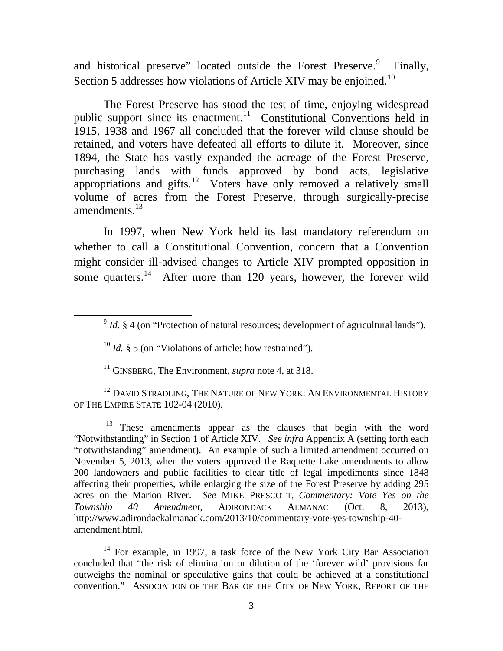and historical preserve" located outside the Forest Preserve.<sup>[9](#page-5-0)</sup> Finally, Section 5 addresses how violations of Article XIV may be enjoined.<sup>10</sup>

The Forest Preserve has stood the test of time, enjoying widespread public support since its enactment.<sup>[11](#page-5-2)</sup> Constitutional Conventions held in 1915, 1938 and 1967 all concluded that the forever wild clause should be retained, and voters have defeated all efforts to dilute it. Moreover, since 1894, the State has vastly expanded the acreage of the Forest Preserve, purchasing lands with funds approved by bond acts, legislative appropriations and gifts.<sup>[12](#page-5-3)</sup> Voters have only removed a relatively small volume of acres from the Forest Preserve, through surgically-precise amendments.<sup>13</sup>

In 1997, when New York held its last mandatory referendum on whether to call a Constitutional Convention, concern that a Convention might consider ill-advised changes to Article XIV prompted opposition in some quarters.<sup>[14](#page-5-5)</sup> After more than 120 years, however, the forever wild

<sup>11</sup> GINSBERG, The Environment, *supra* note 4*,* at 318.

<span id="page-5-3"></span><span id="page-5-2"></span><span id="page-5-1"></span><span id="page-5-0"></span><sup>12</sup> DAVID STRADLING, THE NATURE OF NEW YORK: AN ENVIRONMENTAL HISTORY OF THE EMPIRE STATE 102-04 (2010).

<span id="page-5-4"></span><sup>13</sup> These amendments appear as the clauses that begin with the word "Notwithstanding" in Section 1 of Article XIV. *See infra* Appendix A (setting forth each "notwithstanding" amendment). An example of such a limited amendment occurred on November 5, 2013, when the voters approved the Raquette Lake amendments to allow 200 landowners and public facilities to clear title of legal impediments since 1848 affecting their properties, while enlarging the size of the Forest Preserve by adding 295 acres on the Marion River. *See* MIKE PRESCOTT, *Commentary: Vote Yes on the Township 40 Amendment*, ADIRONDACK ALMANAC (Oct. 8, 2013), [http://www.adirondackalmanack.com/2013/10/commentary-vote-yes-township-40](http://www.adirondackalmanack.com/2013/10/commentary-vote-yes-township-40-amendment.html) [amendment.html.](http://www.adirondackalmanack.com/2013/10/commentary-vote-yes-township-40-amendment.html)

<span id="page-5-5"></span><sup>14</sup> For example, in 1997, a task force of the New York City Bar Association concluded that "the risk of elimination or dilution of the 'forever wild' provisions far outweighs the nominal or speculative gains that could be achieved at a constitutional convention." ASSOCIATION OF THE BAR OF THE CITY OF NEW YORK, REPORT OF THE

<sup>&</sup>lt;sup>9</sup> *Id.* § 4 (on "Protection of natural resources; development of agricultural lands").

<sup>&</sup>lt;sup>10</sup> *Id.* § 5 (on "Violations of article; how restrained").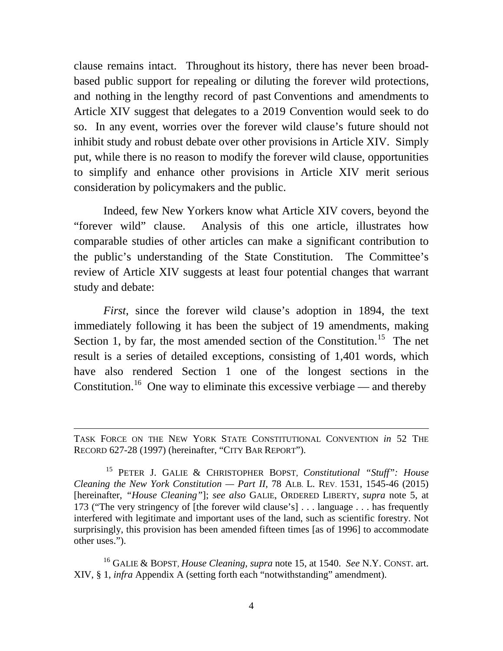clause remains intact. Throughout its history, there has never been broadbased public support for repealing or diluting the forever wild protections, and nothing in the lengthy record of past Conventions and amendments to Article XIV suggest that delegates to a 2019 Convention would seek to do so. In any event, worries over the forever wild clause's future should not inhibit study and robust debate over other provisions in Article XIV. Simply put, while there is no reason to modify the forever wild clause, opportunities to simplify and enhance other provisions in Article XIV merit serious consideration by policymakers and the public.

Indeed, few New Yorkers know what Article XIV covers, beyond the "forever wild" clause. Analysis of this one article, illustrates how comparable studies of other articles can make a significant contribution to the public's understanding of the State Constitution. The Committee's review of Article XIV suggests at least four potential changes that warrant study and debate:

*First*, since the forever wild clause's adoption in 1894, the text immediately following it has been the subject of 19 amendments, making Section 1, by far, the most amended section of the Constitution.<sup>15</sup> The net result is a series of detailed exceptions, consisting of 1,401 words, which have also rendered Section 1 one of the longest sections in the Constitution.<sup>[16](#page-6-1)</sup> One way to eliminate this excessive verbiage — and thereby

 $\overline{\phantom{a}}$ 

<span id="page-6-1"></span><sup>16</sup> GALIE & BOPST, *House Cleaning, supra* note 15, at 1540. *See* N.Y. CONST. art. XIV, § 1, *infra* Appendix A (setting forth each "notwithstanding" amendment).

TASK FORCE ON THE NEW YORK STATE CONSTITUTIONAL CONVENTION *in* 52 THE RECORD 627-28 (1997) (hereinafter, "CITY BAR REPORT").

<span id="page-6-0"></span><sup>15</sup> PETER J. GALIE & CHRISTOPHER BOPST, *Constitutional "Stuff": House Cleaning the New York Constitution — Part II,* 78 ALB. L. REV. 1531, 1545-46 (2015) [hereinafter, *"House Cleaning"*]; *see also* GALIE, ORDERED LIBERTY, *supra* note 5, at 173 ("The very stringency of [the forever wild clause's] . . . language . . . has frequently interfered with legitimate and important uses of the land, such as scientific forestry. Not surprisingly, this provision has been amended fifteen times [as of 1996] to accommodate other uses.").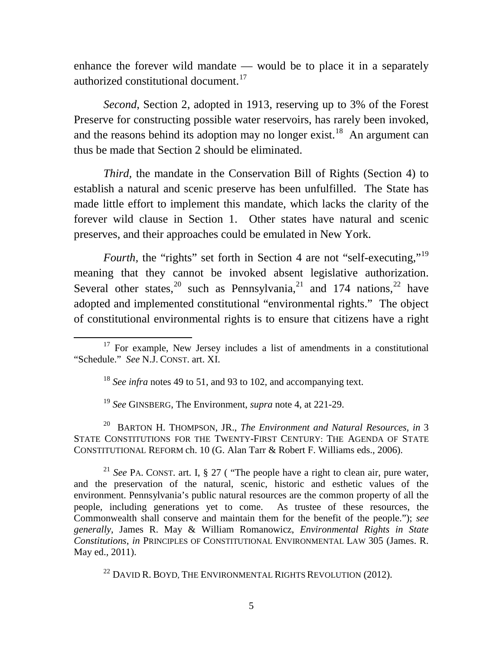enhance the forever wild mandate — would be to place it in a separately authorized constitutional document.<sup>17</sup>

*Second*, Section 2, adopted in 1913, reserving up to 3% of the Forest Preserve for constructing possible water reservoirs, has rarely been invoked, and the reasons behind its adoption may no longer exist.<sup>18</sup> An argument can thus be made that Section 2 should be eliminated.

*Third*, the mandate in the Conservation Bill of Rights (Section 4) to establish a natural and scenic preserve has been unfulfilled. The State has made little effort to implement this mandate, which lacks the clarity of the forever wild clause in Section 1. Other states have natural and scenic preserves, and their approaches could be emulated in New York.

*Fourth,* the "rights" set forth in Section 4 are not "self-executing,"<sup>[19](#page-7-2)</sup> meaning that they cannot be invoked absent legislative authorization. Several other states, <sup>[20](#page-7-3)</sup> such as Pennsylvania,<sup>[21](#page-7-4)</sup> and 174 nations, <sup>[22](#page-7-5)</sup> have adopted and implemented constitutional "environmental rights." The object of constitutional environmental rights is to ensure that citizens have a right

<sup>19</sup> *See* GINSBERG, The Environment, *supra* note 4, at 221-29.

<span id="page-7-3"></span><span id="page-7-2"></span>20 BARTON H. THOMPSON, JR., *The Environment and Natural Resources, in* 3 STATE CONSTITUTIONS FOR THE TWENTY-FIRST CENTURY: THE AGENDA OF STATE CONSTITUTIONAL REFORM ch. 10 (G. Alan Tarr & Robert F. Williams eds., 2006).

<span id="page-7-4"></span><sup>21</sup> *See* PA. CONST. art. I, § 27 ( "The people have a right to clean air, pure water, and the preservation of the natural, scenic, historic and esthetic values of the environment. Pennsylvania's public natural resources are the common property of all the people, including generations yet to come. As trustee of these resources, the Commonwealth shall conserve and maintain them for the benefit of the people."); *see generally*, James R. May & William Romanowicz, *Environmental Rights in State Constitutions*, *in* PRINCIPLES OF CONSTITUTIONAL ENVIRONMENTAL LAW 305 (James. R. May ed., 2011).

<span id="page-7-5"></span> $^{22}$  DAVID R. BOYD, THE ENVIRONMENTAL RIGHTS REVOLUTION (2012).

<span id="page-7-1"></span><span id="page-7-0"></span> $17$  For example, New Jersey includes a list of amendments in a constitutional "Schedule." *See* N.J. CONST. art. XI.

<sup>18</sup> *See infra* notes 49 to 51, and 93 to 102, and accompanying text.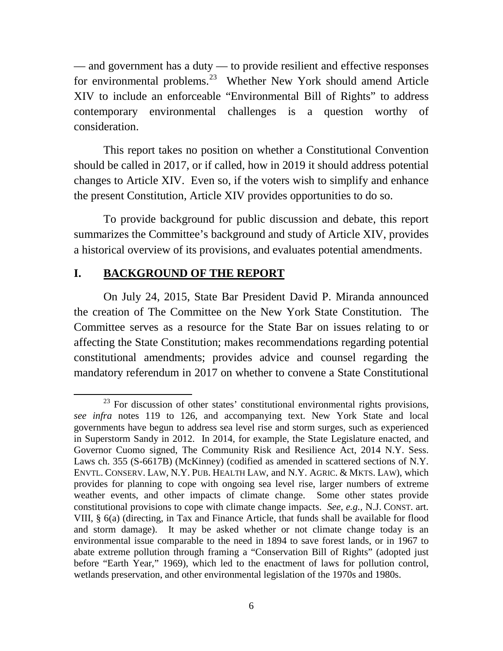— and government has a duty — to provide resilient and effective responses for environmental problems.<sup>[23](#page-8-0)</sup> Whether New York should amend Article XIV to include an enforceable "Environmental Bill of Rights" to address contemporary environmental challenges is a question worthy of consideration.

This report takes no position on whether a Constitutional Convention should be called in 2017, or if called, how in 2019 it should address potential changes to Article XIV. Even so, if the voters wish to simplify and enhance the present Constitution, Article XIV provides opportunities to do so.

To provide background for public discussion and debate, this report summarizes the Committee's background and study of Article XIV, provides a historical overview of its provisions, and evaluates potential amendments.

## **I. BACKGROUND OF THE REPORT**

On July 24, 2015, State Bar President David P. Miranda announced the creation of The Committee on the New York State Constitution. The Committee serves as a resource for the State Bar on issues relating to or affecting the State Constitution; makes recommendations regarding potential constitutional amendments; provides advice and counsel regarding the mandatory referendum in 2017 on whether to convene a State Constitutional

<span id="page-8-0"></span><sup>&</sup>lt;sup>23</sup> For discussion of other states' constitutional environmental rights provisions, *see infra* notes 119 to 126, and accompanying text. New York State and local governments have begun to address sea level rise and storm surges, such as experienced in Superstorm Sandy in 2012. In 2014, for example, the State Legislature enacted, and Governor Cuomo signed, The Community Risk and Resilience Act, 2014 N.Y. Sess. Laws ch. 355 (S-6617B) (McKinney) (codified as amended in scattered sections of N.Y. ENVTL. CONSERV. LAW, N.Y. PUB. HEALTH LAW, and N.Y. AGRIC. & MKTS. LAW), which provides for planning to cope with ongoing sea level rise, larger numbers of extreme weather events, and other impacts of climate change. Some other states provide constitutional provisions to cope with climate change impacts. *See, e.g.,* N.J. CONST. art. VIII, § 6(a) (directing, in Tax and Finance Article, that funds shall be available for flood and storm damage). It may be asked whether or not climate change today is an environmental issue comparable to the need in 1894 to save forest lands, or in 1967 to abate extreme pollution through framing a "Conservation Bill of Rights" (adopted just before "Earth Year," 1969), which led to the enactment of laws for pollution control, wetlands preservation, and other environmental legislation of the 1970s and 1980s.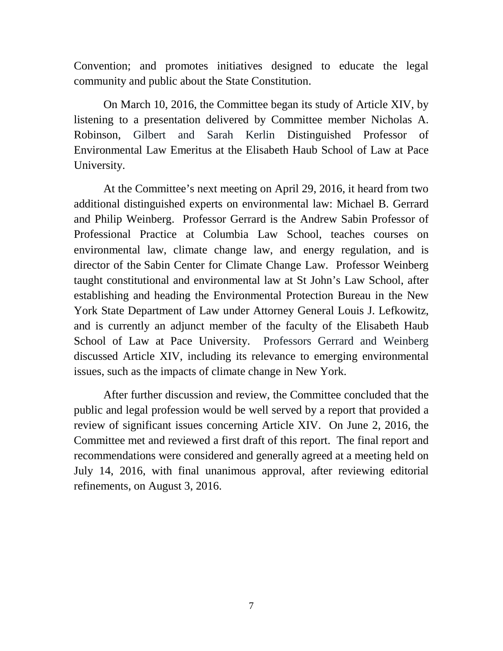Convention; and promotes initiatives designed to educate the legal community and public about the State Constitution.

On March 10, 2016, the Committee began its study of Article XIV, by listening to a presentation delivered by Committee member Nicholas A. Robinson, Gilbert and Sarah Kerlin Distinguished Professor of Environmental Law Emeritus at the Elisabeth Haub School of Law at Pace University.

At the Committee's next meeting on April 29, 2016, it heard from two additional distinguished experts on environmental law: Michael B. Gerrard and Philip Weinberg. Professor Gerrard is the Andrew Sabin Professor of Professional Practice at Columbia Law School, teaches courses on environmental law, climate change law, and energy regulation, and is director of the [Sabin Center for Climate Change Law.](http://www.law.columbia.edu/centers/climatechange) Professor Weinberg taught constitutional and environmental law at St John's Law School, after establishing and heading the Environmental Protection Bureau in the New York State Department of Law under Attorney General Louis J. Lefkowitz, and is currently an adjunct member of the faculty of the Elisabeth Haub School of Law at Pace University. Professors Gerrard and Weinberg discussed Article XIV, including its relevance to emerging environmental issues, such as the impacts of climate change in New York.

After further discussion and review, the Committee concluded that the public and legal profession would be well served by a report that provided a review of significant issues concerning Article XIV. On June 2, 2016, the Committee met and reviewed a first draft of this report. The final report and recommendations were considered and generally agreed at a meeting held on July 14, 2016, with final unanimous approval, after reviewing editorial refinements, on August 3, 2016.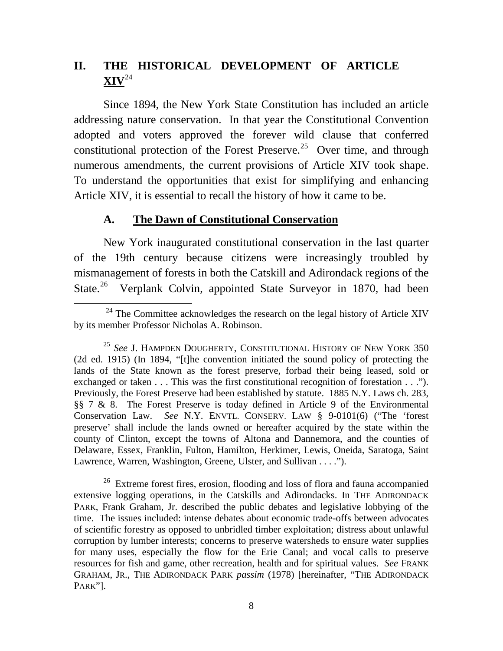## **II. THE HISTORICAL DEVELOPMENT OF ARTICLE**  $XIV<sup>24</sup>$  $XIV<sup>24</sup>$  $XIV<sup>24</sup>$

Since 1894, the New York State Constitution has included an article addressing nature conservation. In that year the Constitutional Convention adopted and voters approved the forever wild clause that conferred constitutional protection of the Forest Preserve.<sup>[25](#page-10-1)</sup> Over time, and through numerous amendments, the current provisions of Article XIV took shape. To understand the opportunities that exist for simplifying and enhancing Article XIV, it is essential to recall the history of how it came to be.

#### **A. The Dawn of Constitutional Conservation**

New York inaugurated constitutional conservation in the last quarter of the 19th century because citizens were increasingly troubled by mismanagement of forests in both the Catskill and Adirondack regions of the State.<sup>[26](#page-10-2)</sup> Verplank Colvin, appointed State Surveyor in 1870, had been

<span id="page-10-2"></span><sup>26</sup> Extreme forest fires, erosion, flooding and loss of flora and fauna accompanied extensive logging operations, in the Catskills and Adirondacks. In THE ADIRONDACK PARK, Frank Graham, Jr. described the public debates and legislative lobbying of the time. The issues included: intense debates about economic trade-offs between advocates of scientific forestry as opposed to unbridled timber exploitation; distress about unlawful corruption by lumber interests; concerns to preserve watersheds to ensure water supplies for many uses, especially the flow for the Erie Canal; and vocal calls to preserve resources for fish and game, other recreation, health and for spiritual values. *See* FRANK GRAHAM, JR., THE ADIRONDACK PARK *passim* (1978) [hereinafter, "THE ADIRONDACK PARK"].

<span id="page-10-0"></span> $24$  The Committee acknowledges the research on the legal history of Article XIV by its member Professor Nicholas A. Robinson.

<span id="page-10-1"></span><sup>&</sup>lt;sup>25</sup> See J. HAMPDEN DOUGHERTY, CONSTITUTIONAL HISTORY OF NEW YORK 350 (2d ed. 1915) (In 1894, "[t]he convention initiated the sound policy of protecting the lands of the State known as the forest preserve, forbad their being leased, sold or exchanged or taken . . . This was the first constitutional recognition of forestation . . ."). Previously, the Forest Preserve had been established by statute. 1885 N.Y. Laws ch. 283, §§ 7 & 8. The Forest Preserve is today defined in Article 9 of the Environmental Conservation Law. *See* N.Y. ENVTL. CONSERV. LAW § 9-0101(6) ("The 'forest preserve' shall include the lands owned or hereafter acquired by the state within the county of Clinton, except the towns of Altona and Dannemora, and the counties of Delaware, Essex, Franklin, Fulton, Hamilton, Herkimer, Lewis, Oneida, Saratoga, Saint Lawrence, Warren, Washington, Greene, Ulster, and Sullivan . . . .").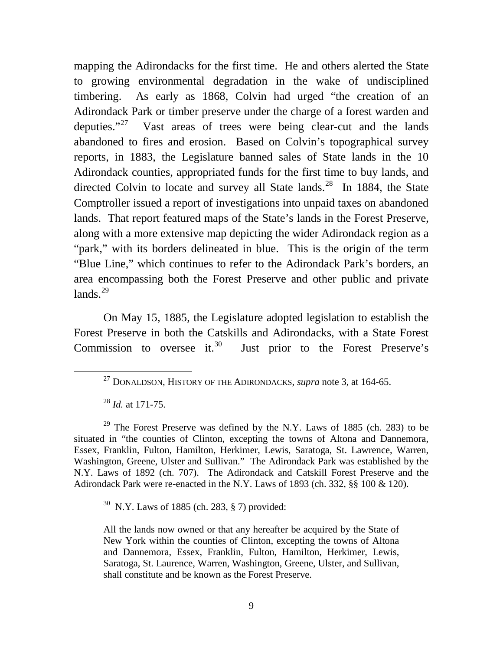mapping the Adirondacks for the first time. He and others alerted the State to growing environmental degradation in the wake of undisciplined timbering. As early as 1868, Colvin had urged "the creation of an Adirondack Park or timber preserve under the charge of a forest warden and deputies."<sup>[27](#page-11-0)</sup> Vast areas of trees were being clear-cut and the lands abandoned to fires and erosion. Based on Colvin's topographical survey reports, in 1883, the Legislature banned sales of State lands in the 10 Adirondack counties, appropriated funds for the first time to buy lands, and directed Colvin to locate and survey all State lands.<sup>[28](#page-11-1)</sup> In 1884, the State Comptroller issued a report of investigations into unpaid taxes on abandoned lands. That report featured maps of the State's lands in the Forest Preserve, along with a more extensive map depicting the wider Adirondack region as a "park," with its borders delineated in blue. This is the origin of the term "Blue Line," which continues to refer to the Adirondack Park's borders, an area encompassing both the Forest Preserve and other public and private  $lands.<sup>29</sup>$ 

On May 15, 1885, the Legislature adopted legislation to establish the Forest Preserve in both the Catskills and Adirondacks, with a State Forest Commission to oversee it. $30$  Just prior to the Forest Preserve's

<sup>28</sup> *Id.* at 171-75.

<span id="page-11-2"></span><span id="page-11-1"></span><span id="page-11-0"></span><sup>29</sup> The Forest Preserve was defined by the N.Y. Laws of 1885 (ch. 283) to be situated in "the counties of Clinton, excepting the towns of Altona and Dannemora, Essex, Franklin, Fulton, Hamilton, Herkimer, Lewis, Saratoga, St. Lawrence, Warren, Washington, Greene, Ulster and Sullivan." The Adirondack Park was established by the N.Y. Laws of 1892 (ch. 707). The Adirondack and Catskill Forest Preserve and the Adirondack Park were re-enacted in the N.Y. Laws of 1893 (ch. 332, §§ 100 & 120).

<span id="page-11-3"></span> $30$  N.Y. Laws of 1885 (ch. 283, § 7) provided:

All the lands now owned or that any hereafter be acquired by the State of New York within the counties of Clinton, excepting the towns of Altona and Dannemora, Essex, Franklin, Fulton, Hamilton, Herkimer, Lewis, Saratoga, St. Laurence, Warren, Washington, Greene, Ulster, and Sullivan, shall constitute and be known as the Forest Preserve.

<sup>27</sup> DONALDSON, HISTORY OF THE ADIRONDACKS, *supra* note 3, at 164-65.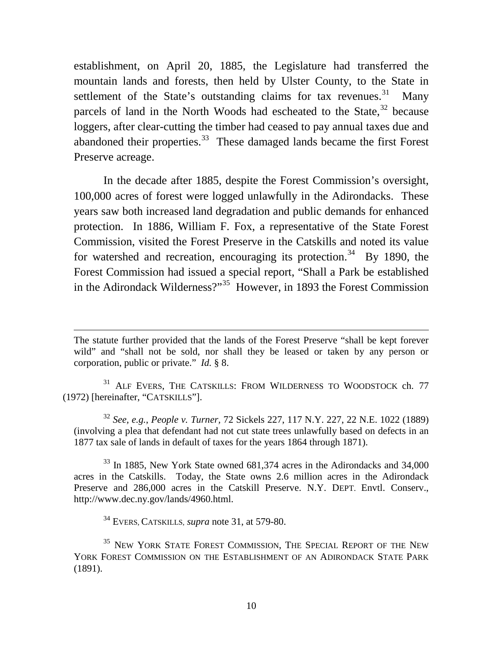establishment, on April 20, 1885, the Legislature had transferred the mountain lands and forests, then held by Ulster County, to the State in settlement of the State's outstanding claims for tax revenues.<sup>[31](#page-12-0)</sup> Many parcels of land in the North Woods had escheated to the State,  $32$  because loggers, after clear-cutting the timber had ceased to pay annual taxes due and abandoned their properties. $33$  These damaged lands became the first Forest Preserve acreage.

In the decade after 1885, despite the Forest Commission's oversight, 100,000 acres of forest were logged unlawfully in the Adirondacks. These years saw both increased land degradation and public demands for enhanced protection. In 1886, William F. Fox, a representative of the State Forest Commission, visited the Forest Preserve in the Catskills and noted its value for watershed and recreation, encouraging its protection.<sup>[34](#page-12-3)</sup> By 1890, the Forest Commission had issued a special report, "Shall a Park be established in the Adirondack Wilderness?"<sup>[35](#page-12-4)</sup> However, in 1893 the Forest Commission

<span id="page-12-1"></span><span id="page-12-0"></span><sup>31</sup> ALF EVERS, THE CATSKILLS: FROM WILDERNESS TO WOODSTOCK ch. 77 (1972) [hereinafter, "CATSKILLS"].

<sup>32</sup> *See, e.g.*, *People v. Turner,* 72 Sickels 227, 117 N.Y. 227, 22 N.E. 1022 (1889) (involving a plea that defendant had not cut state trees unlawfully based on defects in an 1877 tax sale of lands in default of taxes for the years 1864 through 1871).

<span id="page-12-2"></span><sup>33</sup> In 1885, New York State owned 681,374 acres in the Adirondacks and 34,000 acres in the Catskills. Today, the State owns 2.6 million acres in the Adirondack Preserve and 286,000 acres in the Catskill Preserve. N.Y. DEPT. Envtl. Conserv., http://www.dec.ny.gov/lands/4960.html.

<sup>34</sup> EVERS, CATSKILLS, *supra* note 31, at 579-80.

 $\overline{\phantom{a}}$ 

<span id="page-12-4"></span><span id="page-12-3"></span><sup>35</sup> NEW YORK STATE FOREST COMMISSION, THE SPECIAL REPORT OF THE NEW YORK FOREST COMMISSION ON THE ESTABLISHMENT OF AN ADIRONDACK STATE PARK (1891).

The statute further provided that the lands of the Forest Preserve "shall be kept forever wild" and "shall not be sold, nor shall they be leased or taken by any person or corporation, public or private." *Id.* § 8.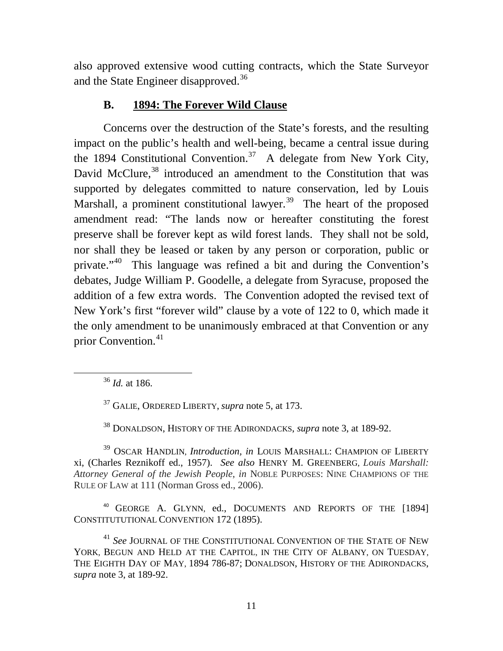also approved extensive wood cutting contracts, which the State Surveyor and the State Engineer disapproved.<sup>[36](#page-13-0)</sup>

## **B. 1894: The Forever Wild Clause**

Concerns over the destruction of the State's forests, and the resulting impact on the public's health and well-being, became a central issue during the 1894 Constitutional Convention.<sup>37</sup> A delegate from New York City, David McClure,<sup>[38](#page-13-2)</sup> introduced an amendment to the Constitution that was supported by delegates committed to nature conservation, led by Louis Marshall, a prominent constitutional lawyer.<sup>39</sup> The heart of the proposed amendment read: "The lands now or hereafter constituting the forest preserve shall be forever kept as wild forest lands. They shall not be sold, nor shall they be leased or taken by any person or corporation, public or private."[40](#page-13-4) This language was refined a bit and during the Convention's debates, Judge William P. Goodelle, a delegate from Syracuse, proposed the addition of a few extra words. The Convention adopted the revised text of New York's first "forever wild" clause by a vote of 122 to 0, which made it the only amendment to be unanimously embraced at that Convention or any prior Convention.<sup>[41](#page-13-5)</sup>

<sup>36</sup> *Id.* at 186.

<sup>37</sup> GALIE, ORDERED LIBERTY, *supra* note 5, at 173.

<sup>38</sup> DONALDSON, HISTORY OF THE ADIRONDACKS, *supra* note 3, at 189-92.

<span id="page-13-3"></span><span id="page-13-2"></span><span id="page-13-1"></span><span id="page-13-0"></span><sup>39</sup> OSCAR HANDLIN, *Introduction, in* LOUIS MARSHALL: CHAMPION OF LIBERTY xi, (Charles Reznikoff ed., 1957). *See also* HENRY M. GREENBERG, *Louis Marshall: Attorney General of the Jewish People*, *in* NOBLE PURPOSES: NINE CHAMPIONS OF THE RULE OF LAW at 111 (Norman Gross ed., 2006).

<span id="page-13-4"></span><sup>40</sup> GEORGE A. GLYNN, ed., DOCUMENTS AND REPORTS OF THE [1894] CONSTITUTUTIONAL CONVENTION 172 (1895).

<span id="page-13-5"></span><sup>41</sup> *See* JOURNAL OF THE CONSTITUTIONAL CONVENTION OF THE STATE OF NEW YORK, BEGUN AND HELD AT THE CAPITOL, IN THE CITY OF ALBANY, ON TUESDAY, THE EIGHTH DAY OF MAY, 1894 786-87; DONALDSON, HISTORY OF THE ADIRONDACKS, *supra* note 3, at 189-92.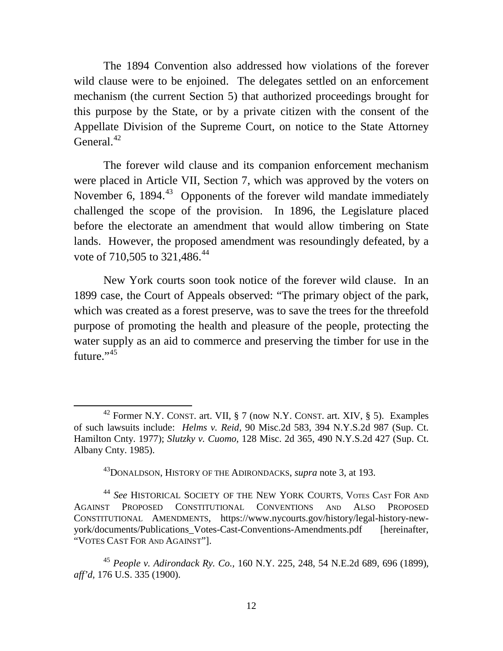The 1894 Convention also addressed how violations of the forever wild clause were to be enjoined. The delegates settled on an enforcement mechanism (the current Section 5) that authorized proceedings brought for this purpose by the State, or by a private citizen with the consent of the Appellate Division of the Supreme Court, on notice to the State Attorney General  $^{42}$  $^{42}$  $^{42}$ 

The forever wild clause and its companion enforcement mechanism were placed in Article VII, Section 7, which was approved by the voters on November 6, 1894. $43$  Opponents of the forever wild mandate immediately challenged the scope of the provision. In 1896, the Legislature placed before the electorate an amendment that would allow timbering on State lands. However, the proposed amendment was resoundingly defeated, by a vote of 710,505 to 321,486.<sup>44</sup>

New York courts soon took notice of the forever wild clause. In an 1899 case, the Court of Appeals observed: "The primary object of the park, which was created as a forest preserve, was to save the trees for the threefold purpose of promoting the health and pleasure of the people, protecting the water supply as an aid to commerce and preserving the timber for use in the future." $45$ 

43DONALDSON, HISTORY OF THE ADIRONDACKS, *supra* note 3, at 193.

<span id="page-14-0"></span><sup>&</sup>lt;sup>42</sup> Former N.Y. CONST. art. VII,  $\S 7$  (now N.Y. CONST. art. XIV,  $\S 5$ ). Examples of such lawsuits include: *Helms v. Reid,* [90 Misc.2d 583, 394 N.Y.S.2d 987 \(Sup. Ct.](https://1.next.westlaw.com/Link/Document/FullText?findType=Y&serNum=1977108615&pubNum=0000602&originatingDoc=I25af2b28b29d11deba6bddfe5aebd6b7&refType=RP&originationContext=document&transitionType=DocumentItem&contextData=(sc.Search))  [Hamilton Cnty. 1977\);](https://1.next.westlaw.com/Link/Document/FullText?findType=Y&serNum=1977108615&pubNum=0000602&originatingDoc=I25af2b28b29d11deba6bddfe5aebd6b7&refType=RP&originationContext=document&transitionType=DocumentItem&contextData=(sc.Search)) *Slutzky v. Cuomo,* [128 Misc. 2d 365, 490 N.Y.S.2d 427 \(Sup. Ct.](https://1.next.westlaw.com/Link/Document/FullText?findType=Y&serNum=1985130383&pubNum=0000602&originatingDoc=I25af2b28b29d11deba6bddfe5aebd6b7&refType=RP&originationContext=document&transitionType=DocumentItem&contextData=(sc.Search))  [Albany Cnty. 1985\).](https://1.next.westlaw.com/Link/Document/FullText?findType=Y&serNum=1985130383&pubNum=0000602&originatingDoc=I25af2b28b29d11deba6bddfe5aebd6b7&refType=RP&originationContext=document&transitionType=DocumentItem&contextData=(sc.Search))

<span id="page-14-2"></span><span id="page-14-1"></span><sup>44</sup> *See* HISTORICAL SOCIETY OF THE NEW YORK COURTS, VOTES CAST FOR AND AGAINST PROPOSED CONSTITUTIONAL CONVENTIONS AND ALSO PROPOSED CONSTITUTIONAL AMENDMENTS, [https://www.nycourts.gov/history/legal-history-new](https://www.nycourts.gov/history/legal-history-new-york/documents/Publications_Votes-Cast-Conventions-Amendments.pdf)[york/documents/Publications\\_Votes-Cast-Conventions-Amendments.pdf](https://www.nycourts.gov/history/legal-history-new-york/documents/Publications_Votes-Cast-Conventions-Amendments.pdf) [hereinafter, "VOTES CAST FOR AND AGAINST"].

<span id="page-14-3"></span><sup>45</sup> *People v. Adirondack Ry. Co.,* 160 N.Y. 225, 248, 54 N.E.2d 689, 696 (1899), *aff'd,* 176 U.S. 335 (1900).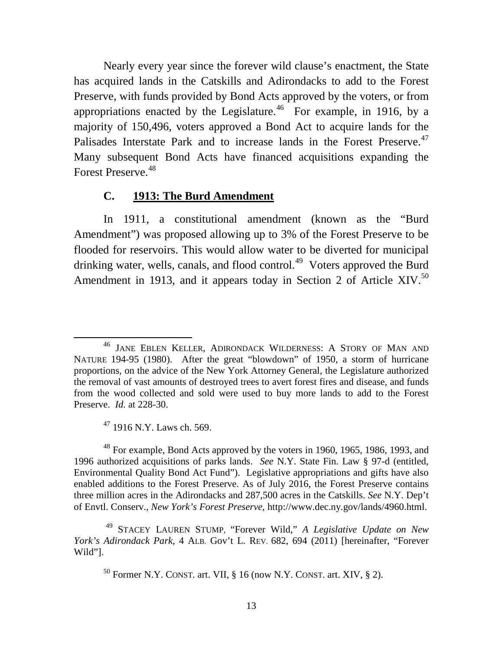Nearly every year since the forever wild clause's enactment, the State has acquired lands in the Catskills and Adirondacks to add to the Forest Preserve, with funds provided by Bond Acts approved by the voters, or from appropriations enacted by the Legislature.<sup>46</sup> For example, in 1916, by a majority of 150,496, voters approved a Bond Act to acquire lands for the Palisades Interstate Park and to increase lands in the Forest Preserve.<sup>[47](#page-15-1)</sup> Many subsequent Bond Acts have financed acquisitions expanding the Forest Preserve.<sup>48</sup>

### **C. 1913: The Burd Amendment**

In 1911, a constitutional amendment (known as the "Burd Amendment") was proposed allowing up to 3% of the Forest Preserve to be flooded for reservoirs. This would allow water to be diverted for municipal drinking water, wells, canals, and flood control.<sup>49</sup> Voters approved the Burd Amendment in 1913, and it appears today in Section 2 of Article XIV.<sup>[50](#page-15-4)</sup>

<span id="page-15-2"></span><span id="page-15-1"></span> $48$  For example, Bond Acts approved by the voters in 1960, 1965, 1986, 1993, and 1996 authorized acquisitions of parks lands. *See* N.Y. State Fin. Law § 97-d (entitled, Environmental Quality Bond Act Fund"). Legislative appropriations and gifts have also enabled additions to the Forest Preserve. As of July 2016, the Forest Preserve contains three million acres in the Adirondacks and 287,500 acres in the Catskills. *See* N.Y. Dep't of Envtl. Conserv., *New York's Forest Preserve*, [http://www.dec.ny.gov/lands/4960.html.](http://www.dec.ny.gov/lands/4960.html)

<span id="page-15-0"></span><sup>46</sup> JANE EBLEN KELLER, ADIRONDACK WILDERNESS: <sup>A</sup> STORY OF MAN AND NATURE 194-95 (1980). After the great "blowdown" of 1950, a storm of hurricane proportions, on the advice of the New York Attorney General, the Legislature authorized the removal of vast amounts of destroyed trees to avert forest fires and disease, and funds from the wood collected and sold were used to buy more lands to add to the Forest Preserve. *Id.* at 228-30.

<sup>47</sup> 1916 N.Y. Laws ch. 569.

<span id="page-15-4"></span><span id="page-15-3"></span><sup>49</sup> STACEY LAUREN STUMP, "Forever Wild," *A Legislative Update on New York's Adirondack Park,* 4 ALB. Gov't L. REV. 682, 694 (2011) [hereinafter, "Forever Wild"].

 $^{50}$  Former N.Y. CONST. art. VII, § 16 (now N.Y. CONST. art. XIV, § 2).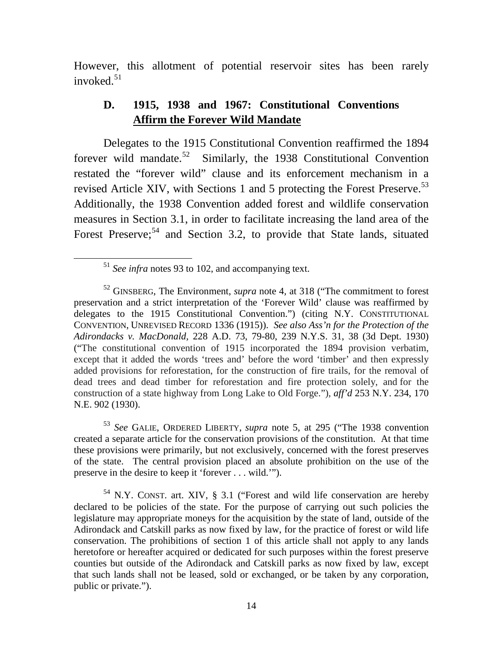However, this allotment of potential reservoir sites has been rarely invoked. $51$ 

## **D. 1915, 1938 and 1967: Constitutional Conventions Affirm the Forever Wild Mandate**

Delegates to the 1915 Constitutional Convention reaffirmed the 1894 forever wild mandate.[52](#page-16-1) Similarly, the 1938 Constitutional Convention restated the "forever wild" clause and its enforcement mechanism in a revised Article XIV, with Sections 1 and 5 protecting the Forest Preserve.<sup>[53](#page-16-2)</sup> Additionally, the 1938 Convention added forest and wildlife conservation measures in Section 3.1, in order to facilitate increasing the land area of the Forest Preserve;<sup>[54](#page-16-3)</sup> and Section 3.2, to provide that State lands, situated

<span id="page-16-2"></span><sup>53</sup> *See* GALIE, ORDERED LIBERTY, *supra* note 5, at 295 ("The 1938 convention created a separate article for the conservation provisions of the constitution. At that time these provisions were primarily, but not exclusively, concerned with the forest preserves of the state. The central provision placed an absolute prohibition on the use of the preserve in the desire to keep it 'forever . . . wild.'").

<span id="page-16-3"></span> $54$  N.Y. CONST. art. XIV, § 3.1 ("Forest and wild life conservation are hereby declared to be policies of the state. For the purpose of carrying out such policies the legislature may appropriate moneys for the acquisition by the state of land, outside of the Adirondack and Catskill parks as now fixed by law, for the practice of forest or wild life conservation. The prohibitions of section 1 of this article shall not apply to any lands heretofore or hereafter acquired or dedicated for such purposes within the forest preserve counties but outside of the Adirondack and Catskill parks as now fixed by law, except that such lands shall not be leased, sold or exchanged, or be taken by any corporation, public or private.").

<sup>51</sup> *See infra* notes 93 to 102, and accompanying text.

<span id="page-16-1"></span><span id="page-16-0"></span><sup>52</sup> GINSBERG, The Environment, *supra* note 4*,* at 318 ("The commitment to forest preservation and a strict interpretation of the 'Forever Wild' clause was reaffirmed by delegates to the 1915 Constitutional Convention.") (citing N.Y. CONSTITUTIONAL CONVENTION, UNREVISED RECORD 1336 (1915)). *See also Ass'n for the Protection of the Adirondacks v. MacDonald,* 228 A.D. 73, 79-80, 239 N.Y.S. 31, 38 (3d Dept. 1930) ("The constitutional convention of 1915 incorporated the 1894 provision verbatim, except that it added the words 'trees and' before the word 'timber' and then expressly added provisions for reforestation, for the construction of fire trails, for the removal of dead trees and dead timber for reforestation and fire protection solely, and for the construction of a state highway from Long Lake to Old Forge."), *aff'd* 253 N.Y. 234, 170 N.E. 902 (1930).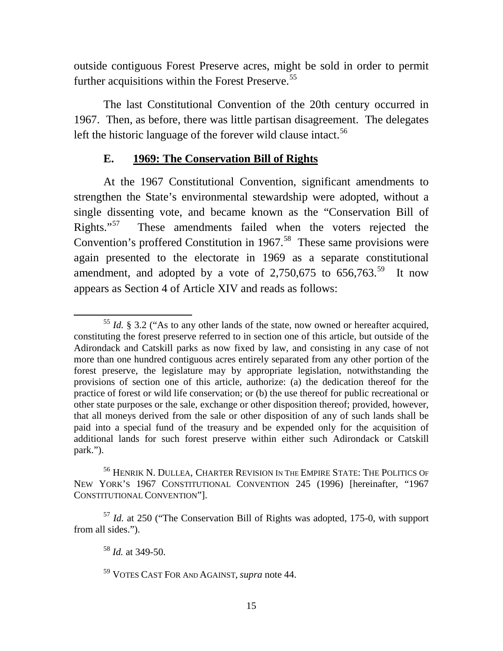outside contiguous Forest Preserve acres, might be sold in order to permit further acquisitions within the Forest Preserve.<sup>55</sup>

The last Constitutional Convention of the 20th century occurred in 1967. Then, as before, there was little partisan disagreement. The delegates left the historic language of the forever wild clause intact.<sup>[56](#page-17-1)</sup>

## **E. 1969: The Conservation Bill of Rights**

At the 1967 Constitutional Convention, significant amendments to strengthen the State's environmental stewardship were adopted, without a single dissenting vote, and became known as the "Conservation Bill of Rights."<sup>57</sup> These amendments failed when the voters rejected the Convention's proffered Constitution in  $1967$ <sup>58</sup>. These same provisions were again presented to the electorate in 1969 as a separate constitutional amendment, and adopted by a vote of  $2,750,675$  to  $656,763.^{59}$  $656,763.^{59}$  $656,763.^{59}$  It now appears as Section 4 of Article XIV and reads as follows:

<span id="page-17-1"></span><sup>56</sup> HENRIK N. DULLEA, CHARTER REVISION IN THE EMPIRE STATE: THE POLITICS OF NEW YORK'S 1967 CONSTITUTIONAL CONVENTION 245 (1996) [hereinafter, "1967 CONSTITUTIONAL CONVENTION"].

<span id="page-17-4"></span><span id="page-17-3"></span><span id="page-17-2"></span><sup>57</sup> *Id.* at 250 ("The Conservation Bill of Rights was adopted, 175-0, with support from all sides.").

<span id="page-17-0"></span><sup>55</sup> *Id.* § 3.2 ("As to any other lands of the state, now owned or hereafter acquired, constituting the forest preserve referred to in section one of this article, but outside of the Adirondack and Catskill parks as now fixed by law, and consisting in any case of not more than one hundred contiguous acres entirely separated from any other portion of the forest preserve, the legislature may by appropriate legislation, notwithstanding the provisions of section one of this article, authorize: (a) the dedication thereof for the practice of forest or wild life conservation; or (b) the use thereof for public recreational or other state purposes or the sale, exchange or other disposition thereof; provided, however, that all moneys derived from the sale or other disposition of any of such lands shall be paid into a special fund of the treasury and be expended only for the acquisition of additional lands for such forest preserve within either such Adirondack or Catskill park.").

<sup>58</sup> *Id.* at 349-50.

<sup>59</sup> VOTES CAST FOR AND AGAINST, *supra* note 44.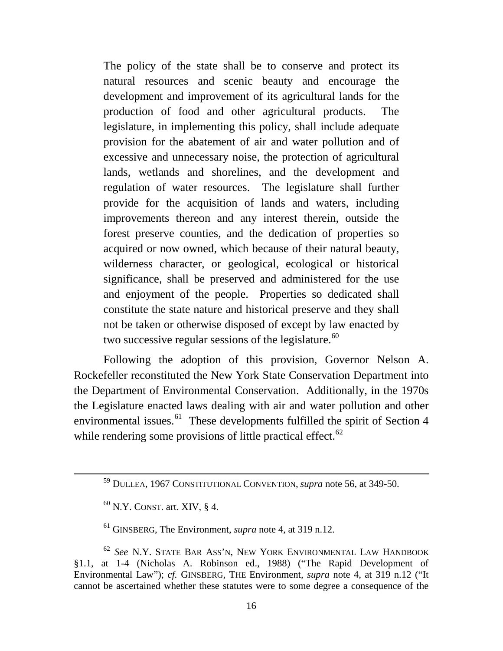The policy of the state shall be to conserve and protect its natural resources and scenic beauty and encourage the development and improvement of its agricultural lands for the production of food and other agricultural products. The legislature, in implementing this policy, shall include adequate provision for the abatement of air and water pollution and of excessive and unnecessary noise, the protection of agricultural lands, wetlands and shorelines, and the development and regulation of water resources. The legislature shall further provide for the acquisition of lands and waters, including improvements thereon and any interest therein, outside the forest preserve counties, and the dedication of properties so acquired or now owned, which because of their natural beauty, wilderness character, or geological, ecological or historical significance, shall be preserved and administered for the use and enjoyment of the people. Properties so dedicated shall constitute the state nature and historical preserve and they shall not be taken or otherwise disposed of except by law enacted by two successive regular sessions of the legislature. $60$ 

Following the adoption of this provision, Governor Nelson A. Rockefeller reconstituted the New York State Conservation Department into the Department of Environmental Conservation. Additionally, in the 1970s the Legislature enacted laws dealing with air and water pollution and other environmental issues.<sup>61</sup> These developments fulfilled the spirit of Section 4 while rendering some provisions of little practical effect.<sup>62</sup>

 $^{60}$  N.Y. CONST. art. XIV, § 4.

<sup>61</sup> GINSBERG, The Environment, *supra* note 4, at 319 n.12.

<span id="page-18-2"></span><span id="page-18-1"></span><span id="page-18-0"></span><sup>62</sup> *See* N.Y. STATE BAR ASS'N, NEW YORK ENVIRONMENTAL LAW HANDBOOK §1.1, at 1-4 (Nicholas A. Robinson ed., 1988) ("The Rapid Development of Environmental Law"); *cf.* GINSBERG, THE Environment, *supra* note 4, at 319 n.12 ("It cannot be ascertained whether these statutes were to some degree a consequence of the

<sup>59</sup> DULLEA, 1967 CONSTITUTIONAL CONVENTION, *supra* note 56, at 349-50.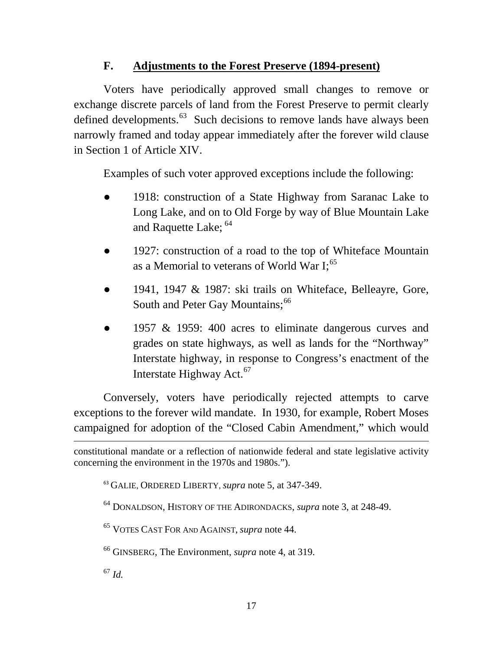## **F. Adjustments to the Forest Preserve (1894-present)**

Voters have periodically approved small changes to remove or exchange discrete parcels of land from the Forest Preserve to permit clearly defined developments.<sup>[63](#page-19-0)</sup> Such decisions to remove lands have always been narrowly framed and today appear immediately after the forever wild clause in Section 1 of Article XIV.

Examples of such voter approved exceptions include the following:

- 1918: construction of a State Highway from Saranac Lake to Long Lake, and on to Old Forge by way of Blue Mountain Lake and Raquette Lake; [64](#page-19-1)
- 1927: construction of a road to the top of Whiteface Mountain as a Memorial to veterans of World War I; $^{65}$  $^{65}$  $^{65}$
- 1941, 1947 & 1987: ski trails on Whiteface, Belleayre, Gore, South and Peter Gay Mountains:<sup>[66](#page-19-3)</sup>
- 1957 & 1959: 400 acres to eliminate dangerous curves and grades on state highways, as well as lands for the "Northway" Interstate highway, in response to Congress's enactment of the Interstate Highway Act.<sup>67</sup>

Conversely, voters have periodically rejected attempts to carve exceptions to the forever wild mandate. In 1930, for example, Robert Moses campaigned for adoption of the "Closed Cabin Amendment," which would

<sup>63</sup> GALIE, ORDERED LIBERTY, *supra* note 5, at 347-349.

<sup>64</sup> DONALDSON, HISTORY OF THE ADIRONDACKS, *supra* note 3, at 248-49.

<span id="page-19-2"></span><sup>65</sup> VOTES CAST FOR AND AGAINST, *supra* note 44.

<span id="page-19-3"></span><sup>66</sup> GINSBERG, The Environment, *supra* note 4, at 319.

<span id="page-19-4"></span><sup>67</sup> *Id.*

 $\overline{\phantom{a}}$ 

<span id="page-19-1"></span><span id="page-19-0"></span>constitutional mandate or a reflection of nationwide federal and state legislative activity concerning the environment in the 1970s and 1980s.").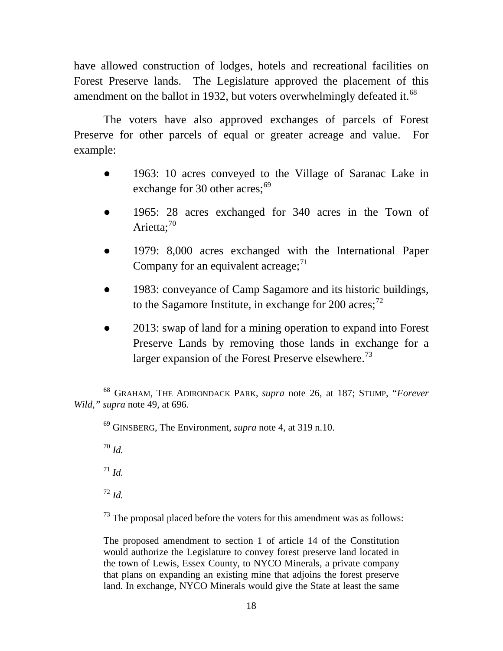have allowed construction of lodges, hotels and recreational facilities on Forest Preserve lands. The Legislature approved the placement of this amendment on the ballot in 1932, but voters overwhelmingly defeated it.<sup>68</sup>

The voters have also approved exchanges of parcels of Forest Preserve for other parcels of equal or greater acreage and value. For example:

- 1963: 10 acres conveyed to the Village of Saranac Lake in exchange for 30 other  $\arccos$ ;<sup>[69](#page-20-1)</sup>
- 1965: 28 acres exchanged for 340 acres in the Town of Arietta:<sup>[70](#page-20-2)</sup>
- 1979: 8,000 acres exchanged with the International Paper Company for an equivalent acreage; $^{71}$  $^{71}$  $^{71}$
- 1983: conveyance of Camp Sagamore and its historic buildings, to the Sagamore Institute, in exchange for 200 acres; $^{72}$  $^{72}$  $^{72}$
- 2013: swap of land for a mining operation to expand into Forest Preserve Lands by removing those lands in exchange for a larger expansion of the Forest Preserve elsewhere.<sup>[73](#page-20-5)</sup>

<sup>70</sup> *Id.*

<span id="page-20-3"></span> $^{71}$  *Id.* 

<span id="page-20-4"></span><sup>72</sup> *Id.*

<span id="page-20-5"></span> $^{73}$  The proposal placed before the voters for this amendment was as follows:

The proposed amendment to section 1 of article 14 of the Constitution would authorize the Legislature to convey forest preserve land located in the town of Lewis, Essex County, to NYCO Minerals, a private company that plans on expanding an existing mine that adjoins the forest preserve land. In exchange, NYCO Minerals would give the State at least the same

<span id="page-20-2"></span><span id="page-20-1"></span><span id="page-20-0"></span><sup>68</sup> GRAHAM, THE ADIRONDACK PARK, *supra* note 26, at 187; STUMP, "*Forever Wild," supra* note 49, at 696.

<sup>69</sup> GINSBERG, The Environment, *supra* note 4, at 319 n.10.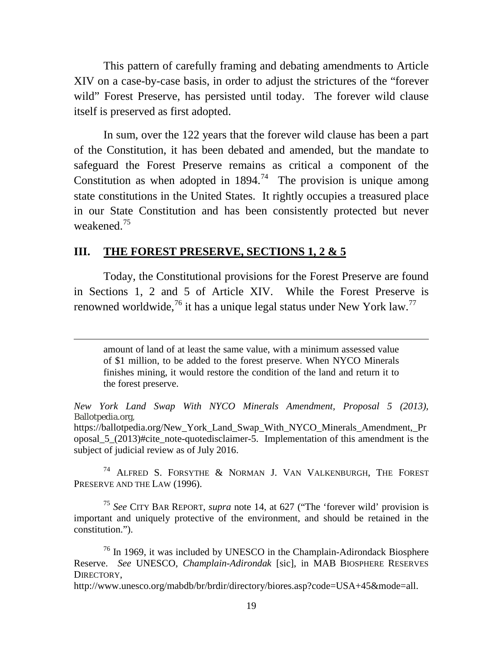This pattern of carefully framing and debating amendments to Article XIV on a case-by-case basis, in order to adjust the strictures of the "forever wild" Forest Preserve, has persisted until today. The forever wild clause itself is preserved as first adopted.

In sum, over the 122 years that the forever wild clause has been a part of the Constitution, it has been debated and amended, but the mandate to safeguard the Forest Preserve remains as critical a component of the Constitution as when adopted in  $1894<sup>74</sup>$  The provision is unique among state constitutions in the United States. It rightly occupies a treasured place in our State Constitution and has been consistently protected but never weakened.<sup>[75](#page-21-1)</sup>

#### **III. THE FOREST PRESERVE, SECTIONS 1, 2 & 5**

<span id="page-21-3"></span>l

Today, the Constitutional provisions for the Forest Preserve are found in Sections 1, 2 and 5 of Article XIV. While the Forest Preserve is renowned worldwide,  $76$  it has a unique legal status under New York law.<sup>[77](#page-21-3)</sup>

amount of land of at least the same value, with a minimum assessed value of \$1 million, to be added to the forest preserve. When NYCO Minerals finishes mining, it would restore the condition of the land and return it to the forest preserve.

<span id="page-21-0"></span><sup>74</sup> ALFRED S. FORSYTHE & NORMAN J. VAN VALKENBURGH, THE FOREST PRESERVE AND THE LAW (1996).

<span id="page-21-1"></span><sup>75</sup> *See* CITY BAR REPORT, *supra* note 14, at 627 ("The 'forever wild' provision is important and uniquely protective of the environment, and should be retained in the constitution.").

<span id="page-21-2"></span><sup>76</sup> In 1969, it was included by UNESCO in the Champlain-Adirondack Biosphere Reserve. *See* UNESCO, *Champlain-Adirondak* [sic], in MAB BIOSPHERE RESERVES DIRECTORY,

*New York Land Swap With NYCO Minerals Amendment, Proposal 5 (2013),*  Ballotpedia.org, https://ballotpedia.org/New\_York\_Land\_Swap\_With\_NYCO\_Minerals\_Amendment,\_Pr

oposal\_5\_(2013)#cite\_note-quotedisclaimer-5. Implementation of this amendment is the subject of judicial review as of July 2016.

[http://www.unesco.org/mabdb/br/brdir/directory/biores.asp?code=USA+45&mode=all.](http://www.unesco.org/mabdb/br/brdir/directory/biores.asp?code=USA+45&mode=all)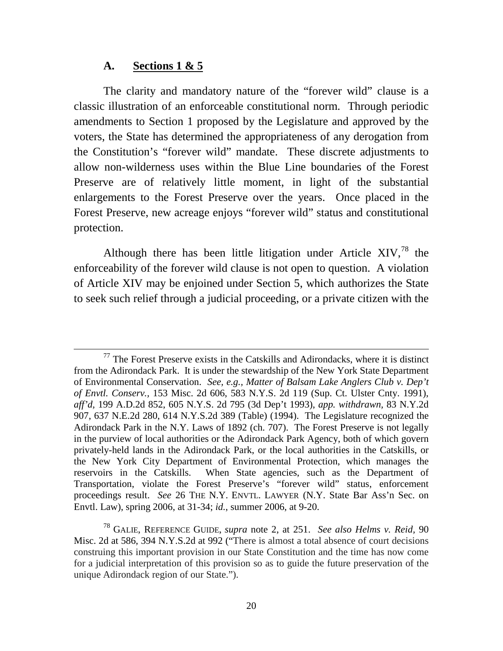#### **A. Sections 1 & 5**

The clarity and mandatory nature of the "forever wild" clause is a classic illustration of an enforceable constitutional norm. Through periodic amendments to Section 1 proposed by the Legislature and approved by the voters, the State has determined the appropriateness of any derogation from the Constitution's "forever wild" mandate. These discrete adjustments to allow non-wilderness uses within the Blue Line boundaries of the Forest Preserve are of relatively little moment, in light of the substantial enlargements to the Forest Preserve over the years. Once placed in the Forest Preserve, new acreage enjoys "forever wild" status and constitutional protection.

Although there has been little litigation under Article  $XIV<sub>1</sub><sup>78</sup>$  $XIV<sub>1</sub><sup>78</sup>$  $XIV<sub>1</sub><sup>78</sup>$  the enforceability of the forever wild clause is not open to question. A violation of Article XIV may be enjoined under Section 5, which authorizes the State to seek such relief through a judicial proceeding, or a private citizen with the

 $77$  The Forest Preserve exists in the Catskills and Adirondacks, where it is distinct from the Adirondack Park. It is under the stewardship of the New York State Department of Environmental Conservation. *See, e.g., Matter of Balsam Lake Anglers Club v. Dep't of Envtl. Conserv.,* 153 Misc. 2d 606, 583 N.Y.S. 2d 119 (Sup. Ct. Ulster Cnty. 1991), *aff'd,* 199 A.D.2d 852, 605 N.Y.S. 2d 795 (3d Dep't 1993), *app. withdrawn,* 83 N.Y.2d 907, 637 N.E.2d 280, 614 N.Y.S.2d 389 (Table) (1994). The Legislature recognized the Adirondack Park in the N.Y. Laws of 1892 (ch. 707). The Forest Preserve is not legally in the purview of local authorities or the Adirondack Park Agency, both of which govern privately-held lands in the Adirondack Park, or the local authorities in the Catskills, or the New York City Department of Environmental Protection, which manages the reservoirs in the Catskills. When State agencies, such as the Department of Transportation, violate the Forest Preserve's "forever wild" status, enforcement proceedings result. *See* 26 THE N.Y. ENVTL. LAWYER (N.Y. State Bar Ass'n Sec. on Envtl. Law), spring 2006, at 31-34; *id.*, summer 2006, at 9-20.

<span id="page-22-0"></span><sup>78</sup> GALIE, REFERENCE GUIDE, *supra* note 2, at 251. *See also [Helms v. Reid,](https://1.next.westlaw.com/Link/Document/FullText?findType=Y&serNum=1977108615&pubNum=0000602&originatingDoc=I25af2b28b29d11deba6bddfe5aebd6b7&refType=RP&originationContext=document&transitionType=DocumentItem&contextData=(sc.Search))* 90 [Misc. 2d at 586, 394 N.Y.S.2d at 992 \("](https://1.next.westlaw.com/Link/Document/FullText?findType=Y&serNum=1977108615&pubNum=0000602&originatingDoc=I25af2b28b29d11deba6bddfe5aebd6b7&refType=RP&originationContext=document&transitionType=DocumentItem&contextData=(sc.Search))There is almost a total absence of court decisions construing this important provision in our State Constitution and the time has now come for a judicial interpretation of this provision so as to guide the future preservation of the unique Adirondack region of our State.").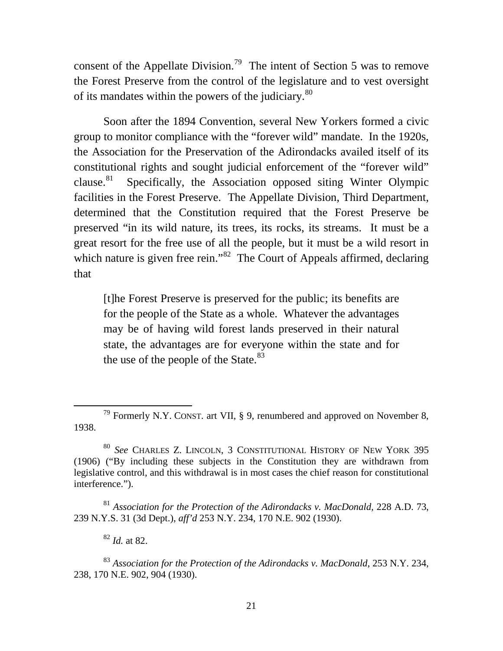consent of the Appellate Division.<sup>[79](#page-23-0)</sup> The intent of Section 5 was to remove the Forest Preserve from the control of the legislature and to vest oversight of its mandates within the powers of the judiciary.<sup>[80](#page-23-1)</sup>

Soon after the 1894 Convention, several New Yorkers formed a civic group to monitor compliance with the "forever wild" mandate. In the 1920s, the Association for the Preservation of the Adirondacks availed itself of its constitutional rights and sought judicial enforcement of the "forever wild" clause.<sup>[81](#page-23-2)</sup> Specifically, the Association opposed siting Winter Olympic facilities in the Forest Preserve. The Appellate Division, Third Department, determined that the Constitution required that the Forest Preserve be preserved "in its wild nature, its trees, its rocks, its streams. It must be a great resort for the free use of all the people, but it must be a wild resort in which nature is given free rein."<sup>[82](#page-23-3)</sup> The Court of Appeals affirmed, declaring that

[t]he Forest Preserve is preserved for the public; its benefits are for the people of the State as a whole. Whatever the advantages may be of having wild forest lands preserved in their natural state, the advantages are for everyone within the state and for the use of the people of the State. $83$ 

<sup>82</sup> *Id.* at 82.

<span id="page-23-0"></span> $^{79}$  Formerly N.Y. CONST. art VII, § 9, renumbered and approved on November 8, 1938.

<span id="page-23-1"></span><sup>80</sup> *See* CHARLES Z. LINCOLN, 3 CONSTITUTIONAL HISTORY OF NEW YORK 395 (1906) ("By including these subjects in the Constitution they are withdrawn from legislative control, and this withdrawal is in most cases the chief reason for constitutional interference.").

<span id="page-23-2"></span><sup>81</sup> *Association for the Protection of the Adirondacks v. MacDonald,* 228 A.D. 73, 239 N.Y.S. 31 (3d Dept.), *aff'd* 253 N.Y. 234, 170 N.E. 902 (1930).

<span id="page-23-4"></span><span id="page-23-3"></span><sup>83</sup> *Association for the Protection of the Adirondacks v. MacDonald*, 253 N.Y. 234, 238, 170 N.E. 902, 904 (1930).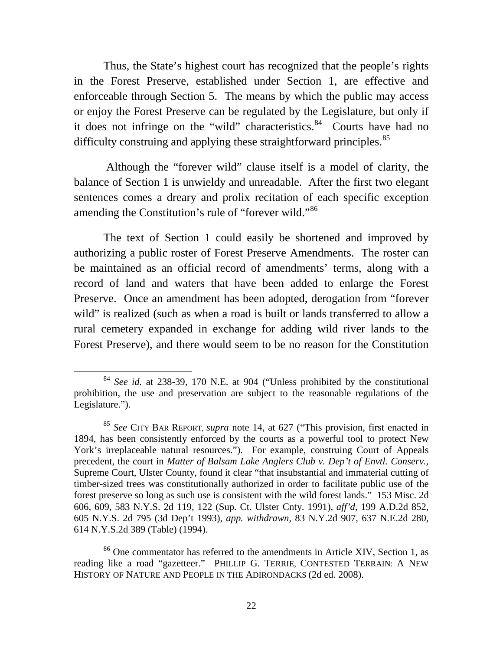Thus, the State's highest court has recognized that the people's rights in the Forest Preserve, established under Section 1, are effective and enforceable through Section 5. The means by which the public may access or enjoy the Forest Preserve can be regulated by the Legislature, but only if it does not infringe on the "wild" characteristics. $84$  Courts have had no difficulty construing and applying these straightforward principles.<sup>85</sup>

Although the "forever wild" clause itself is a model of clarity, the balance of Section 1 is unwieldy and unreadable. After the first two elegant sentences comes a dreary and prolix recitation of each specific exception amending the Constitution's rule of "forever wild."<sup>86</sup>

The text of Section 1 could easily be shortened and improved by authorizing a public roster of Forest Preserve Amendments. The roster can be maintained as an official record of amendments' terms, along with a record of land and waters that have been added to enlarge the Forest Preserve. Once an amendment has been adopted, derogation from "forever wild" is realized (such as when a road is built or lands transferred to allow a rural cemetery expanded in exchange for adding wild river lands to the Forest Preserve), and there would seem to be no reason for the Constitution

<span id="page-24-0"></span><sup>84</sup> *See id.* at 238-39, 170 N.E. at 904 ("Unless prohibited by the constitutional prohibition, the use and preservation are subject to the reasonable regulations of the Legislature.").

<span id="page-24-1"></span><sup>85</sup> *See* CITY BAR REPORT, *supra* note 14, at 627 ("This provision, first enacted in 1894, has been consistently enforced by the courts as a powerful tool to protect New York's irreplaceable natural resources."). For example, construing Court of Appeals precedent, the court in *Matter of Balsam Lake Anglers Club v. Dep't of Envtl. Conserv.,*  Supreme Court, Ulster County, found it clear "that insubstantial and immaterial cutting of timber-sized trees was constitutionally authorized in order to facilitate public use of the forest preserve so long as such use is consistent with the wild forest lands." 153 Misc. 2d 606, 609, 583 N.Y.S. 2d 119, 122 (Sup. Ct. Ulster Cnty. 1991), *aff'd,* 199 A.D.2d 852, 605 N.Y.S. 2d 795 (3d Dep't 1993), *app. withdrawn,* 83 N.Y.2d 907, 637 N.E.2d 280, 614 N.Y.S.2d 389 (Table) (1994).

<span id="page-24-2"></span><sup>86</sup> One commentator has referred to the amendments in Article XIV, Section 1, as reading like a road "gazetteer." PHILLIP G. TERRIE, CONTESTED TERRAIN: A NEW HISTORY OF NATURE AND PEOPLE IN THE ADIRONDACKS (2d ed. 2008).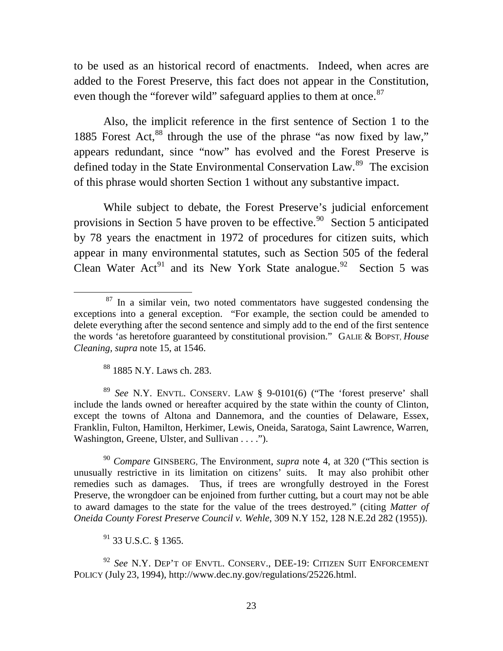to be used as an historical record of enactments. Indeed, when acres are added to the Forest Preserve, this fact does not appear in the Constitution, even though the "forever wild" safeguard applies to them at once.<sup>87</sup>

Also, the implicit reference in the first sentence of Section 1 to the 1[88](#page-25-1)5 Forest Act,<sup>88</sup> through the use of the phrase "as now fixed by law," appears redundant, since "now" has evolved and the Forest Preserve is defined today in the State Environmental Conservation Law.<sup>[89](#page-25-2)</sup> The excision of this phrase would shorten Section 1 without any substantive impact.

While subject to debate, the Forest Preserve's judicial enforcement provisions in Section 5 have proven to be effective.<sup>[90](#page-25-3)</sup> Section 5 anticipated by 78 years the enactment in 1972 of procedures for citizen suits, which appear in many environmental statutes, such as Section 505 of the federal Clean Water  $Act^{91}$  $Act^{91}$  $Act^{91}$  and its New York State analogue.<sup>[92](#page-25-5)</sup> Section 5 was

<sup>88</sup> 1885 N.Y. Laws ch. 283.

<span id="page-25-2"></span><span id="page-25-1"></span><sup>89</sup> *See* N.Y. ENVTL. CONSERV. LAW § 9-0101(6) ("The 'forest preserve' shall include the lands owned or hereafter acquired by the state within the county of Clinton, except the towns of Altona and Dannemora, and the counties of Delaware, Essex, Franklin, Fulton, Hamilton, Herkimer, Lewis, Oneida, Saratoga, Saint Lawrence, Warren, Washington, Greene, Ulster, and Sullivan . . . .").

<span id="page-25-3"></span><sup>90</sup> *Compare* GINSBERG, The Environment, *supra* note 4, at 320 ("This section is unusually restrictive in its limitation on citizens' suits. It may also prohibit other remedies such as damages. Thus, if trees are wrongfully destroyed in the Forest Preserve, the wrongdoer can be enjoined from further cutting, but a court may not be able to award damages to the state for the value of the trees destroyed." (citing *Matter of Oneida County Forest Preserve Council v. Wehle*, 309 N.Y 152, 128 N.E.2d 282 (1955)).

 $91$  33 U.S.C. § 1365.

<span id="page-25-5"></span><span id="page-25-4"></span><sup>92</sup> *See* N.Y. DEP'T OF ENVTL. CONSERV., DEE-19: CITIZEN SUIT ENFORCEMENT POLICY (July 23, 1994), http://www.dec.ny.gov/regulations/25226.html.

<span id="page-25-0"></span> $87$  In a similar vein, two noted commentators have suggested condensing the exceptions into a general exception. "For example, the section could be amended to delete everything after the second sentence and simply add to the end of the first sentence the words 'as heretofore guaranteed by constitutional provision." GALIE & BOPST, *House Cleaning, supra* note 15, at 1546.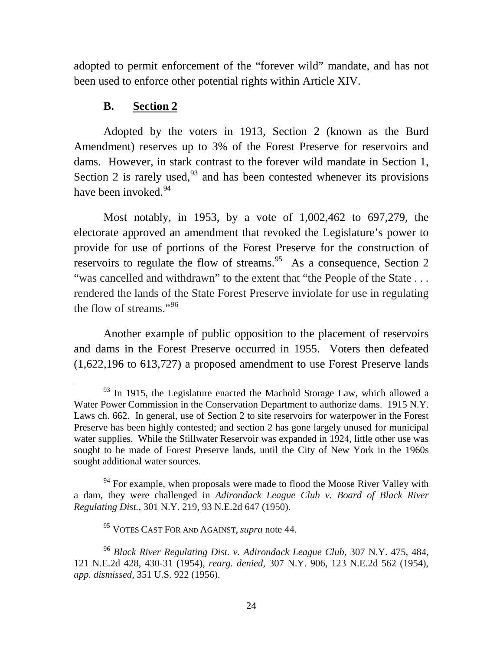adopted to permit enforcement of the "forever wild" mandate, and has not been used to enforce other potential rights within Article XIV.

#### **B. Section 2**

Adopted by the voters in 1913, Section 2 (known as the Burd Amendment) reserves up to 3% of the Forest Preserve for reservoirs and dams. However, in stark contrast to the forever wild mandate in Section 1, Section 2 is rarely used,  $93$  and has been contested whenever its provisions have been invoked.<sup>[94](#page-26-1)</sup>

Most notably, in 1953, by a vote of 1,002,462 to 697,279, the electorate approved an amendment that revoked the Legislature's power to provide for use of portions of the Forest Preserve for the construction of reservoirs to regulate the flow of streams.  $95$  As a consequence, Section 2 "was cancelled and withdrawn" to the extent that "the People of the State . . . rendered the lands of the State Forest Preserve inviolate for use in regulating the flow of streams."[96](#page-26-3)

Another example of public opposition to the placement of reservoirs and dams in the Forest Preserve occurred in 1955. Voters then defeated (1,622,196 to 613,727) a proposed amendment to use Forest Preserve lands

<span id="page-26-1"></span> $94$  For example, when proposals were made to flood the Moose River Valley with a dam, they were challenged in *Adirondack League Club v. Board of Black River Regulating Dist.*, 301 N.Y. 219, 93 N.E.2d 647 (1950).

<sup>95</sup> VOTES CAST FOR AND AGAINST, *supra* note 44.

<span id="page-26-0"></span> $93$  In 1915, the Legislature enacted the Machold Storage Law, which allowed a Water Power Commission in the Conservation Department to authorize dams. 1915 N.Y. Laws ch. 662. In general, use of Section 2 to site reservoirs for waterpower in the Forest Preserve has been highly contested; and section 2 has gone largely unused for municipal water supplies. While the Stillwater Reservoir was expanded in 1924, little other use was sought to be made of Forest Preserve lands, until the City of New York in the 1960s sought additional water sources.

<span id="page-26-3"></span><span id="page-26-2"></span><sup>96</sup> *Black River Regulating Dist. v. Adirondack League Club,* 307 N.Y. 475, 484, 121 N.E.2d 428, 430-31 (1954), *rearg. denied,* 307 N.Y. 906, 123 N.E.2d 562 (1954), *app. dismissed,* 351 U.S. 922 (1956).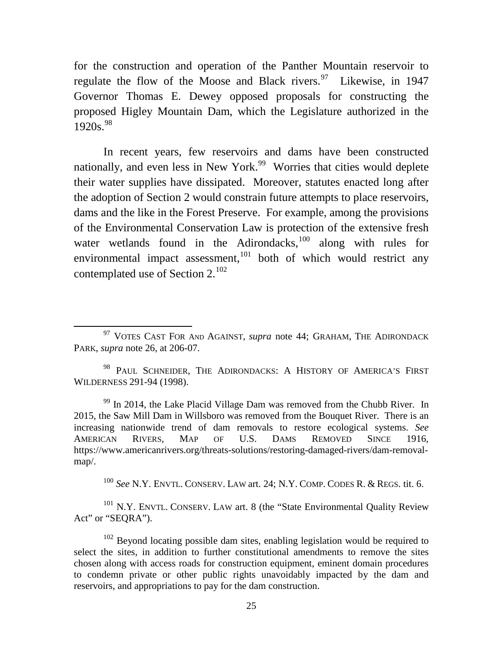for the construction and operation of the Panther Mountain reservoir to regulate the flow of the Moose and Black rivers. <sup>97</sup> Likewise, in 1947 Governor Thomas E. Dewey opposed proposals for constructing the proposed Higley Mountain Dam, which the Legislature authorized in the  $1920s.<sup>98</sup>$ 

In recent years, few reservoirs and dams have been constructed nationally, and even less in New York.<sup>99</sup> Worries that cities would deplete their water supplies have dissipated. Moreover, statutes enacted long after the adoption of Section 2 would constrain future attempts to place reservoirs, dams and the like in the Forest Preserve. For example, among the provisions of the Environmental Conservation Law is protection of the extensive fresh water wetlands found in the Adirondacks,<sup>[100](#page-27-3)</sup> along with rules for environmental impact assessment,  $101$  both of which would restrict any contemplated use of Section 2.[102](#page-27-5)

<sup>100</sup> *See* N.Y. ENVTL. CONSERV. LAW art. 24; N.Y. COMP. CODES R. & REGS. tit. 6.

<span id="page-27-4"></span><span id="page-27-3"></span> $101$  N.Y. ENVTL. CONSERV. LAW art. 8 (the "State Environmental Quality Review Act" or "SEQRA").

<span id="page-27-0"></span><sup>&</sup>lt;sup>97</sup> VOTES CAST FOR AND AGAINST, *supra* note 44; GRAHAM, THE ADIRONDACK PARK, *supra* note 26, at 206-07.

<span id="page-27-1"></span><sup>98</sup> PAUL SCHNEIDER, THE ADIRONDACKS: A HISTORY OF AMERICA'S FIRST WILDERNESS 291-94 (1998).

<span id="page-27-2"></span> $99$  In 2014, the Lake Placid Village Dam was removed from the Chubb River. In 2015, the Saw Mill Dam in Willsboro was removed from the Bouquet River. There is an increasing nationwide trend of dam removals to restore ecological systems. *See* AMERICAN RIVERS, MAP OF U.S. DAMS REMOVED SINCE 1916, https://www.americanrivers.org/threats-solutions/restoring-damaged-rivers/dam-removalmap/.

<span id="page-27-5"></span> $102$  Beyond locating possible dam sites, enabling legislation would be required to select the sites, in addition to further constitutional amendments to remove the sites chosen along with access roads for construction equipment, eminent domain procedures to condemn private or other public rights unavoidably impacted by the dam and reservoirs, and appropriations to pay for the dam construction.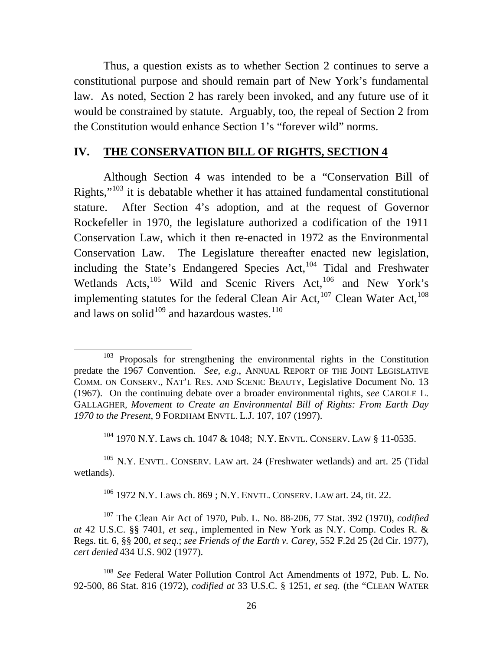Thus, a question exists as to whether Section 2 continues to serve a constitutional purpose and should remain part of New York's fundamental law. As noted, Section 2 has rarely been invoked, and any future use of it would be constrained by statute. Arguably, too, the repeal of Section 2 from the Constitution would enhance Section 1's "forever wild" norms.

#### **IV. THE CONSERVATION BILL OF RIGHTS, SECTION 4**

Although Section 4 was intended to be a "Conservation Bill of Rights,"[103](#page-28-0) it is debatable whether it has attained fundamental constitutional stature. After Section 4's adoption, and at the request of Governor Rockefeller in 1970, the legislature authorized a codification of the 1911 Conservation Law, which it then re-enacted in 1972 as the Environmental Conservation Law. The Legislature thereafter enacted new legislation, including the State's Endangered Species Act,<sup>[104](#page-28-1)</sup> Tidal and Freshwater Wetlands Acts,<sup>[105](#page-28-2)</sup> Wild and Scenic Rivers Act,<sup>[106](#page-28-3)</sup> and New York's implementing statutes for the federal Clean Air Act, $^{107}$  $^{107}$  $^{107}$  Clean Water Act, $^{108}$  $^{108}$  $^{108}$ and laws on solid<sup>[109](#page-28-6)</sup> and hazardous wastes.<sup>[110](#page-28-1)</sup>

<sup>104</sup> 1970 N.Y. Laws ch. 1047 & 1048; N.Y. ENVTL. CONSERV. LAW § 11-0535.

<span id="page-28-2"></span><span id="page-28-1"></span><sup>105</sup> N.Y. ENVTL. CONSERV. LAW art. 24 (Freshwater wetlands) and art. 25 (Tidal wetlands).

<sup>106</sup> 1972 N.Y. Laws ch. 869 ; N.Y. ENVTL. CONSERV. LAW art. 24, tit. 22.

<span id="page-28-4"></span><span id="page-28-3"></span><sup>107</sup> The Clean Air Act of 1970, Pub. L. No. 88-206, 77 Stat. 392 (1970), *codified at* 42 U.S.C. §§ 7401, *et seq.*, implemented in New York as N.Y. Comp. Codes R. & Regs. tit. 6, §§ 200, *et seq*.; *see Friends of the Earth v. Carey*, 552 F.2d 25 (2d Cir. 1977), *cert denied* 434 U.S. 902 (1977).

<span id="page-28-5"></span><sup>108</sup> *See* Federal Water Pollution Control Act Amendments of 1972, Pub. L. No. 92-500, 86 Stat. 816 (1972), *codified at* 33 U.S.C. § 1251, *et seq.* (the "CLEAN WATER

<span id="page-28-6"></span><span id="page-28-0"></span> $103$  Proposals for strengthening the environmental rights in the Constitution predate the 1967 Convention. *See, e.g.*, ANNUAL REPORT OF THE JOINT LEGISLATIVE COMM. ON CONSERV., NAT'L RES. AND SCENIC BEAUTY, Legislative Document No. 13 (1967). On the continuing debate over a broader environmental rights, *see* CAROLE L. GALLAGHER, *Movement to Create an Environmental Bill of Rights: From Earth Day 1970 to the Present*, 9 FORDHAM ENVTL. L.J. 107, 107 (1997).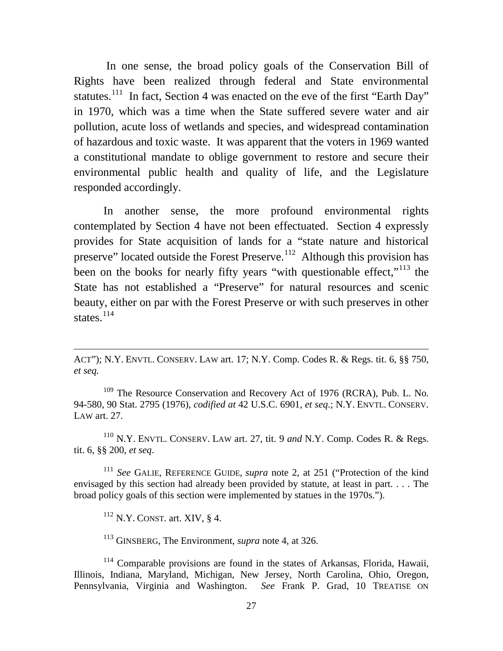In one sense, the broad policy goals of the Conservation Bill of Rights have been realized through federal and State environmental statutes.<sup>111</sup> In fact, Section 4 was enacted on the eve of the first "Earth Day" in 1970, which was a time when the State suffered severe water and air pollution, acute loss of wetlands and species, and widespread contamination of hazardous and toxic waste. It was apparent that the voters in 1969 wanted a constitutional mandate to oblige government to restore and secure their environmental public health and quality of life, and the Legislature responded accordingly.

In another sense, the more profound environmental rights contemplated by Section 4 have not been effectuated. Section 4 expressly provides for State acquisition of lands for a "state nature and historical preserve" located outside the Forest Preserve.<sup>[112](#page-29-1)</sup> Although this provision has been on the books for nearly fifty years "with questionable effect," $113$  the State has not established a "Preserve" for natural resources and scenic beauty, either on par with the Forest Preserve or with such preserves in other states. $^{114}$ 

<sup>109</sup> The Resource Conservation and Recovery Act of 1976 (RCRA), Pub. L. No. 94-580, 90 Stat. 2795 (1976), *codified at* 42 U.S.C. 6901, *et seq*.; N.Y. ENVTL. CONSERV. LAW art. 27.

<sup>110</sup> N.Y. ENVTL. CONSERV. LAW art. 27, tit. 9 *and* N.Y. Comp. Codes R. & Regs. tit. 6, §§ 200, *et seq*.

<span id="page-29-0"></span><sup>111</sup> *See* GALIE, REFERENCE GUIDE, *supra* note 2, at 251 ("Protection of the kind envisaged by this section had already been provided by statute, at least in part. . . . The broad policy goals of this section were implemented by statues in the 1970s.").

 $112$  N.Y. CONST. art. XIV, § 4.

 $\overline{\phantom{a}}$ 

<sup>113</sup> GINSBERG, The Environment, *supra* note 4, at 326.

<span id="page-29-3"></span><span id="page-29-2"></span><span id="page-29-1"></span> $114$  Comparable provisions are found in the states of Arkansas, Florida, Hawaii, Illinois, Indiana, Maryland, Michigan, New Jersey, North Carolina, Ohio, Oregon, Pennsylvania, Virginia and Washington. *See* Frank P. Grad, 10 TREATISE ON

ACT"); N.Y. ENVTL. CONSERV. LAW art. 17; N.Y. Comp. Codes R. & Regs. tit. 6, §§ 750, *et seq.*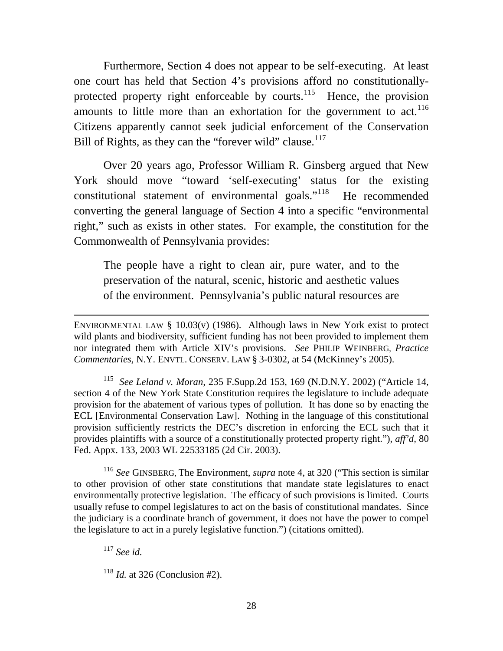Furthermore, Section 4 does not appear to be self-executing. At least one court has held that Section 4's provisions afford no constitutionallyprotected property right enforceable by courts.<sup>115</sup> Hence, the provision amounts to little more than an exhortation for the government to  $act<sup>116</sup>$  $act<sup>116</sup>$  $act<sup>116</sup>$ . Citizens apparently cannot seek judicial enforcement of the Conservation Bill of Rights, as they can the "forever wild" clause.<sup>117</sup>

Over 20 years ago, Professor William R. Ginsberg argued that New York should move "toward 'self-executing' status for the existing constitutional statement of environmental goals."<sup>118</sup> He recommended converting the general language of Section 4 into a specific "environmental right," such as exists in other states. For example, the constitution for the Commonwealth of Pennsylvania provides:

The people have a right to clean air, pure water, and to the preservation of the natural, scenic, historic and aesthetic values of the environment. Pennsylvania's public natural resources are

ENVIRONMENTAL LAW  $\S$  10.03(v) (1986). Although laws in New York exist to protect wild plants and biodiversity, sufficient funding has not been provided to implement them nor integrated them with Article XIV's provisions. *See* PHILIP WEINBERG, *Practice Commentaries,* N.Y. ENVTL. CONSERV. LAW § 3-0302, at 54 (McKinney's 2005).

<span id="page-30-0"></span>115 *See Leland v. Moran,* 235 F.Supp.2d 153, 169 (N.D.N.Y. 2002) ("Article 14, section 4 of the New York State Constitution requires the legislature to include adequate provision for the abatement of various types of pollution. It has done so by enacting the ECL [Environmental Conservation Law]. Nothing in the language of this constitutional provision sufficiently restricts the DEC's discretion in enforcing the ECL such that it provides plaintiffs with a source of a constitutionally protected property right."), *aff'd,* 80 Fed. Appx. 133, 2003 WL 22533185 (2d Cir. 2003).

<span id="page-30-1"></span><sup>116</sup> *See* GINSBERG, The Environment, *supra* note 4, at 320 ("This section is similar to other provision of other state constitutions that mandate state legislatures to enact environmentally protective legislation. The efficacy of such provisions is limited. Courts usually refuse to compel legislatures to act on the basis of constitutional mandates. Since the judiciary is a coordinate branch of government, it does not have the power to compel the legislature to act in a purely legislative function.") (citations omitted).

<span id="page-30-2"></span><sup>117</sup> *See id.* 

 $\overline{\phantom{a}}$ 

<span id="page-30-3"></span><sup>118</sup> *Id.* at 326 (Conclusion #2).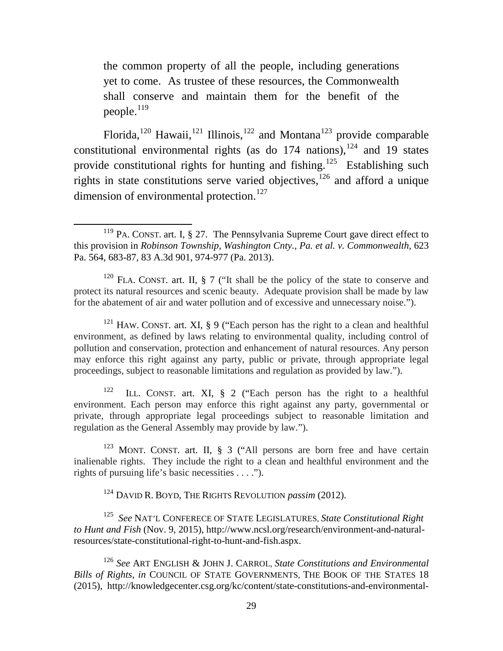the common property of all the people, including generations yet to come. As trustee of these resources, the Commonwealth shall conserve and maintain them for the benefit of the people.<sup>119</sup>

Florida,<sup>[120](#page-31-1)</sup> Hawaii,<sup>[121](#page-31-2)</sup> Illinois,<sup>[122](#page-31-3)</sup> and Montana<sup>[123](#page-31-4)</sup> provide comparable constitutional environmental rights (as do 174 nations),  $124$  and 19 states provide constitutional rights for hunting and fishing.<sup>125</sup> Establishing such rights in state constitutions serve varied objectives,  $126$  and afford a unique dimension of environmental protection.<sup>[127](#page-31-4)</sup>

<span id="page-31-1"></span><sup>120</sup> FLA. CONST. art. II,  $\S$  7 ("It shall be the policy of the state to conserve and protect its natural resources and scenic beauty. Adequate provision shall be made by law for the abatement of air and water pollution and of excessive and unnecessary noise.").

<span id="page-31-2"></span><sup>121</sup> HAW. CONST. art. XI, § 9 ("Each person has the right to a clean and healthful environment, as defined by laws relating to environmental quality, including control of pollution and conservation, protection and enhancement of natural resources. Any person may enforce this right against any party, public or private, through appropriate legal proceedings, subject to reasonable limitations and regulation as provided by law.").

<span id="page-31-3"></span><sup>122</sup> ILL. CONST. art. XI,  $\S$  2 ("Each person has the right to a healthful environment. Each person may enforce this right against any party, governmental or private, through appropriate legal proceedings subject to reasonable limitation and regulation as the General Assembly may provide by law.").

<span id="page-31-4"></span><sup>123</sup> MONT. CONST. art. II, § 3 ("All persons are born free and have certain inalienable rights. They include the right to a clean and healthful environment and the rights of pursuing life's basic necessities . . . .").

<sup>124</sup> DAVID R. BOYD, THE RIGHTS REVOLUTION *passim* (2012).

<span id="page-31-6"></span><span id="page-31-5"></span>125 *See* NAT'L CONFERECE OF STATE LEGISLATURES, *State Constitutional Right to Hunt and Fish* (Nov. 9, 2015), http://www.ncsl.org/research/environment-and-naturalresources/state-constitutional-right-to-hunt-and-fish.aspx.

<span id="page-31-7"></span><sup>126</sup> *See* ART ENGLISH & JOHN J. CARROL, *State Constitutions and Environmental Bills of Rights*, *in* COUNCIL OF STATE GOVERNMENTS, THE BOOK OF THE STATES 18 (2015), http://knowledgecenter.csg.org/kc/content/state-constitutions-and-environmental-

<span id="page-31-0"></span><sup>&</sup>lt;sup>119</sup> PA. CONST. art. I, § 27. The Pennsylvania Supreme Court gave direct effect to this provision in *Robinson Township, Washington Cnty., Pa. et al. v. Commonwealth,* 623 Pa. 564, 683-87, 83 A.3d 901, 974-977 (Pa. 2013).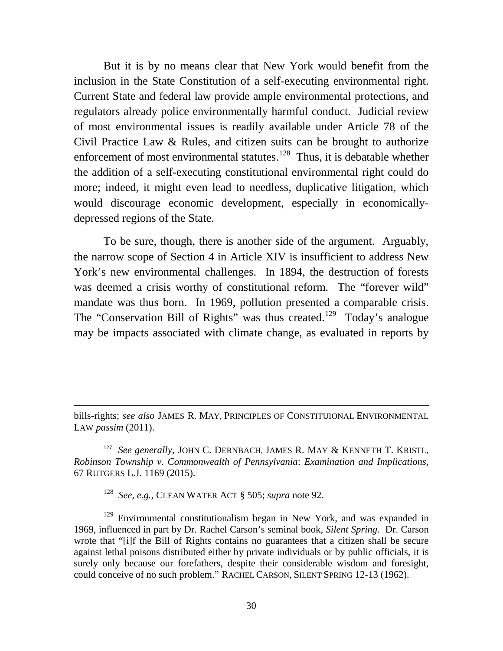But it is by no means clear that New York would benefit from the inclusion in the State Constitution of a self-executing environmental right. Current State and federal law provide ample environmental protections, and regulators already police environmentally harmful conduct. Judicial review of most environmental issues is readily available under Article 78 of the Civil Practice Law & Rules, and citizen suits can be brought to authorize enforcement of most environmental statutes.<sup>128</sup> Thus, it is debatable whether the addition of a self-executing constitutional environmental right could do more; indeed, it might even lead to needless, duplicative litigation, which would discourage economic development, especially in economicallydepressed regions of the State.

To be sure, though, there is another side of the argument. Arguably, the narrow scope of Section 4 in Article XIV is insufficient to address New York's new environmental challenges. In 1894, the destruction of forests was deemed a crisis worthy of constitutional reform. The "forever wild" mandate was thus born. In 1969, pollution presented a comparable crisis. The "Conservation Bill of Rights" was thus created.<sup>[129](#page-32-1)</sup> Today's analogue may be impacts associated with climate change, as evaluated in reports by

bills-rights; *see also* JAMES R. MAY, PRINCIPLES OF CONSTITUIONAL ENVIRONMENTAL LAW *passim* (2011).

<sup>127</sup> *See generally,* JOHN C. DERNBACH, JAMES R. MAY & KENNETH T. KRISTL, *Robinson Township v. Commonwealth of Pennsylvania*: *Examination and Implications,* 67 RUTGERS L.J. 1169 (2015).

128 *See, e.g.,* CLEAN WATER ACT § 505; *supra* note 92.

 $\overline{\phantom{a}}$ 

<span id="page-32-1"></span><span id="page-32-0"></span><sup>129</sup> Environmental constitutionalism began in New York, and was expanded in 1969, influenced in part by Dr. Rachel Carson's seminal book, *Silent Spring.* Dr. Carson wrote that "[i]f the Bill of Rights contains no guarantees that a citizen shall be secure against lethal poisons distributed either by private individuals or by public officials, it is surely only because our forefathers, despite their considerable wisdom and foresight, could conceive of no such problem." RACHEL CARSON, SILENT SPRING 12-13 (1962).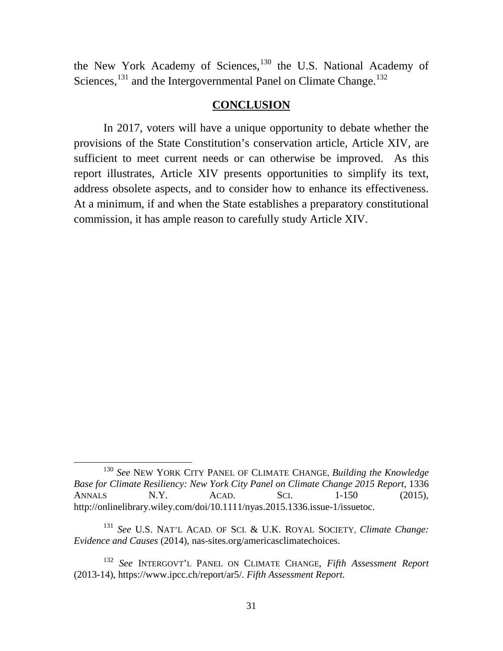the New York Academy of Sciences,<sup>[130](#page-33-0)</sup> the U.S. National Academy of Sciences,<sup>[131](#page-33-1)</sup> and the Intergovernmental Panel on Climate Change.<sup>[132](#page-33-2)</sup>

### **CONCLUSION**

In 2017, voters will have a unique opportunity to debate whether the provisions of the State Constitution's conservation article, Article XIV, are sufficient to meet current needs or can otherwise be improved. As this report illustrates, Article XIV presents opportunities to simplify its text, address obsolete aspects, and to consider how to enhance its effectiveness. At a minimum, if and when the State establishes a preparatory constitutional commission, it has ample reason to carefully study Article XIV.

<span id="page-33-0"></span><sup>130</sup> *See* NEW YORK CITY PANEL OF CLIMATE CHANGE, *Building the Knowledge Base for Climate Resiliency: New York City Panel on Climate Change 2015 Report*, 1336 ANNALS N.Y. ACAD. SCI. 1-150 (2015), [http://onlinelibrary.wiley.com/doi/10.1111/nyas.2015.1336.issue-1/issuetoc.](http://onlinelibrary.wiley.com/doi/10.1111/nyas.2015.1336.issue-1/issuetoc)

<span id="page-33-1"></span><sup>131</sup> *See* U.S. NAT'L ACAD. OF SCI. & U.K. ROYAL SOCIETY, *Climate Change: Evidence and Causes* (2014), nas-sites.org/americasclimatechoices.

<span id="page-33-2"></span><sup>132</sup> *See* INTERGOVT'L PANEL ON CLIMATE CHANGE, *Fifth Assessment Report*  (2013-14), [https://www.ipcc.ch/report/ar5/.](https://www.ipcc.ch/report/ar5/) *Fifth Assessment Report.*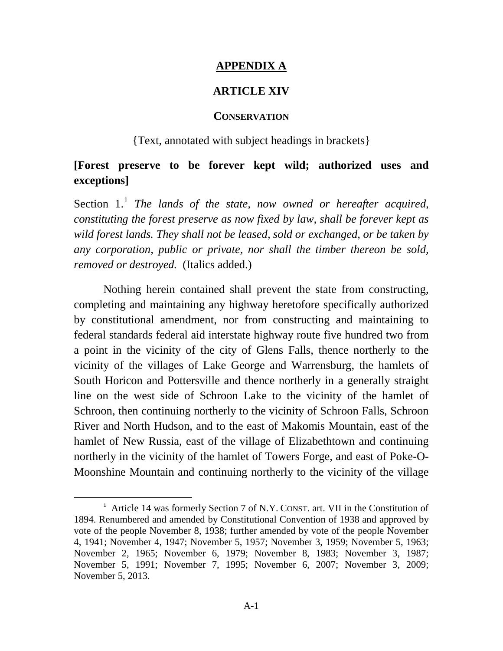#### **APPENDIX A**

#### **ARTICLE XIV**

#### **CONSERVATION**

#### {Text, annotated with subject headings in brackets}

## **[Forest preserve to be forever kept wild; authorized uses and exceptions]**

Section [1](#page-34-0).<sup>1</sup> *The lands of the state, now owned or hereafter acquired, constituting the forest preserve as now fixed by law, shall be forever kept as wild forest lands. They shall not be leased, sold or exchanged, or be taken by any corporation, public or private, nor shall the timber thereon be sold, removed or destroyed.* (Italics added.)

Nothing herein contained shall prevent the state from constructing, completing and maintaining any highway heretofore specifically authorized by constitutional amendment, nor from constructing and maintaining to federal standards federal aid interstate highway route five hundred two from a point in the vicinity of the city of Glens Falls, thence northerly to the vicinity of the villages of Lake George and Warrensburg, the hamlets of South Horicon and Pottersville and thence northerly in a generally straight line on the west side of Schroon Lake to the vicinity of the hamlet of Schroon, then continuing northerly to the vicinity of Schroon Falls, Schroon River and North Hudson, and to the east of Makomis Mountain, east of the hamlet of New Russia, east of the village of Elizabethtown and continuing northerly in the vicinity of the hamlet of Towers Forge, and east of Poke-O-Moonshine Mountain and continuing northerly to the vicinity of the village

<span id="page-34-0"></span><sup>1</sup>  $^1$  Article 14 was formerly Section 7 of N.Y. CONST. art. VII in the Constitution of 1894. Renumbered and amended by Constitutional Convention of 1938 and approved by vote of the people November 8, 1938; further amended by vote of the people November 4, 1941; November 4, 1947; November 5, 1957; November 3, 1959; November 5, 1963; November 2, 1965; November 6, 1979; November 8, 1983; November 3, 1987; November 5, 1991; November 7, 1995; November 6, 2007; November 3, 2009; November 5, 2013.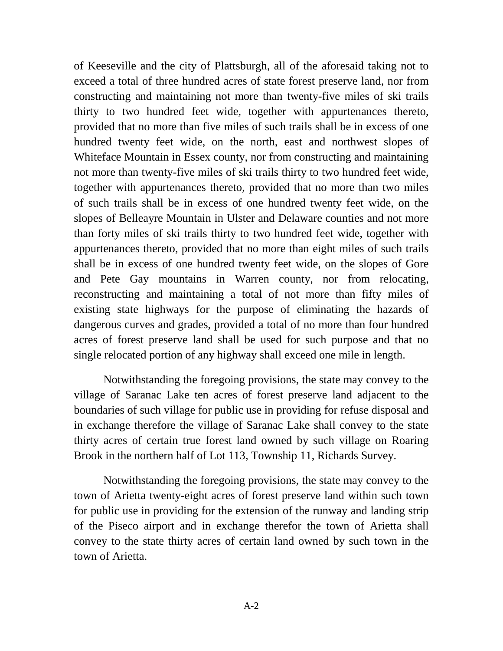of Keeseville and the city of Plattsburgh, all of the aforesaid taking not to exceed a total of three hundred acres of state forest preserve land, nor from constructing and maintaining not more than twenty-five miles of ski trails thirty to two hundred feet wide, together with appurtenances thereto, provided that no more than five miles of such trails shall be in excess of one hundred twenty feet wide, on the north, east and northwest slopes of Whiteface Mountain in Essex county, nor from constructing and maintaining not more than twenty-five miles of ski trails thirty to two hundred feet wide, together with appurtenances thereto, provided that no more than two miles of such trails shall be in excess of one hundred twenty feet wide, on the slopes of Belleayre Mountain in Ulster and Delaware counties and not more than forty miles of ski trails thirty to two hundred feet wide, together with appurtenances thereto, provided that no more than eight miles of such trails shall be in excess of one hundred twenty feet wide, on the slopes of Gore and Pete Gay mountains in Warren county, nor from relocating, reconstructing and maintaining a total of not more than fifty miles of existing state highways for the purpose of eliminating the hazards of dangerous curves and grades, provided a total of no more than four hundred acres of forest preserve land shall be used for such purpose and that no single relocated portion of any highway shall exceed one mile in length.

Notwithstanding the foregoing provisions, the state may convey to the village of Saranac Lake ten acres of forest preserve land adjacent to the boundaries of such village for public use in providing for refuse disposal and in exchange therefore the village of Saranac Lake shall convey to the state thirty acres of certain true forest land owned by such village on Roaring Brook in the northern half of Lot 113, Township 11, Richards Survey.

Notwithstanding the foregoing provisions, the state may convey to the town of Arietta twenty-eight acres of forest preserve land within such town for public use in providing for the extension of the runway and landing strip of the Piseco airport and in exchange therefor the town of Arietta shall convey to the state thirty acres of certain land owned by such town in the town of Arietta.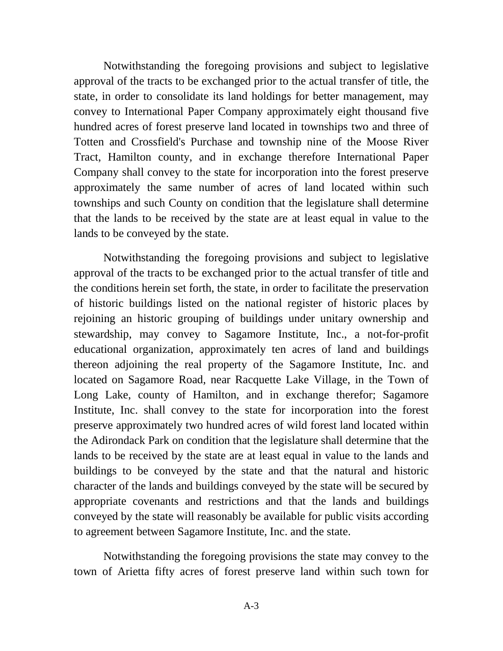Notwithstanding the foregoing provisions and subject to legislative approval of the tracts to be exchanged prior to the actual transfer of title, the state, in order to consolidate its land holdings for better management, may convey to International Paper Company approximately eight thousand five hundred acres of forest preserve land located in townships two and three of Totten and Crossfield's Purchase and township nine of the Moose River Tract, Hamilton county, and in exchange therefore International Paper Company shall convey to the state for incorporation into the forest preserve approximately the same number of acres of land located within such townships and such County on condition that the legislature shall determine that the lands to be received by the state are at least equal in value to the lands to be conveyed by the state.

Notwithstanding the foregoing provisions and subject to legislative approval of the tracts to be exchanged prior to the actual transfer of title and the conditions herein set forth, the state, in order to facilitate the preservation of historic buildings listed on the national register of historic places by rejoining an historic grouping of buildings under unitary ownership and stewardship, may convey to Sagamore Institute, Inc., a not-for-profit educational organization, approximately ten acres of land and buildings thereon adjoining the real property of the Sagamore Institute, Inc. and located on Sagamore Road, near Racquette Lake Village, in the Town of Long Lake, county of Hamilton, and in exchange therefor; Sagamore Institute, Inc. shall convey to the state for incorporation into the forest preserve approximately two hundred acres of wild forest land located within the Adirondack Park on condition that the legislature shall determine that the lands to be received by the state are at least equal in value to the lands and buildings to be conveyed by the state and that the natural and historic character of the lands and buildings conveyed by the state will be secured by appropriate covenants and restrictions and that the lands and buildings conveyed by the state will reasonably be available for public visits according to agreement between Sagamore Institute, Inc. and the state.

Notwithstanding the foregoing provisions the state may convey to the town of Arietta fifty acres of forest preserve land within such town for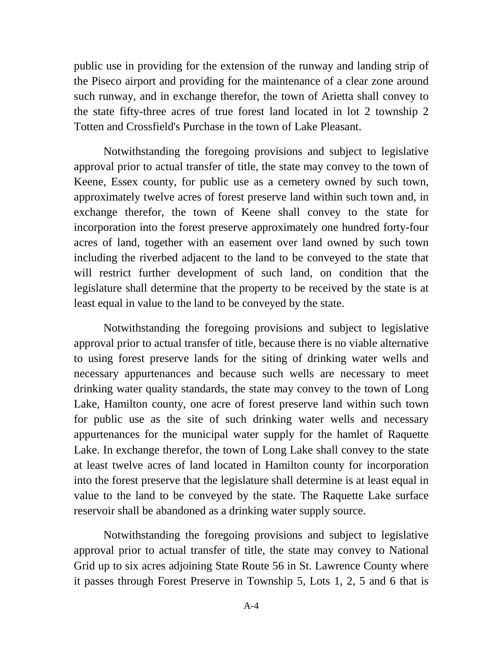public use in providing for the extension of the runway and landing strip of the Piseco airport and providing for the maintenance of a clear zone around such runway, and in exchange therefor, the town of Arietta shall convey to the state fifty-three acres of true forest land located in lot 2 township 2 Totten and Crossfield's Purchase in the town of Lake Pleasant.

Notwithstanding the foregoing provisions and subject to legislative approval prior to actual transfer of title, the state may convey to the town of Keene, Essex county, for public use as a cemetery owned by such town, approximately twelve acres of forest preserve land within such town and, in exchange therefor, the town of Keene shall convey to the state for incorporation into the forest preserve approximately one hundred forty-four acres of land, together with an easement over land owned by such town including the riverbed adjacent to the land to be conveyed to the state that will restrict further development of such land, on condition that the legislature shall determine that the property to be received by the state is at least equal in value to the land to be conveyed by the state.

Notwithstanding the foregoing provisions and subject to legislative approval prior to actual transfer of title, because there is no viable alternative to using forest preserve lands for the siting of drinking water wells and necessary appurtenances and because such wells are necessary to meet drinking water quality standards, the state may convey to the town of Long Lake, Hamilton county, one acre of forest preserve land within such town for public use as the site of such drinking water wells and necessary appurtenances for the municipal water supply for the hamlet of Raquette Lake. In exchange therefor, the town of Long Lake shall convey to the state at least twelve acres of land located in Hamilton county for incorporation into the forest preserve that the legislature shall determine is at least equal in value to the land to be conveyed by the state. The Raquette Lake surface reservoir shall be abandoned as a drinking water supply source.

Notwithstanding the foregoing provisions and subject to legislative approval prior to actual transfer of title, the state may convey to National Grid up to six acres adjoining State Route 56 in St. Lawrence County where it passes through Forest Preserve in Township 5, Lots 1, 2, 5 and 6 that is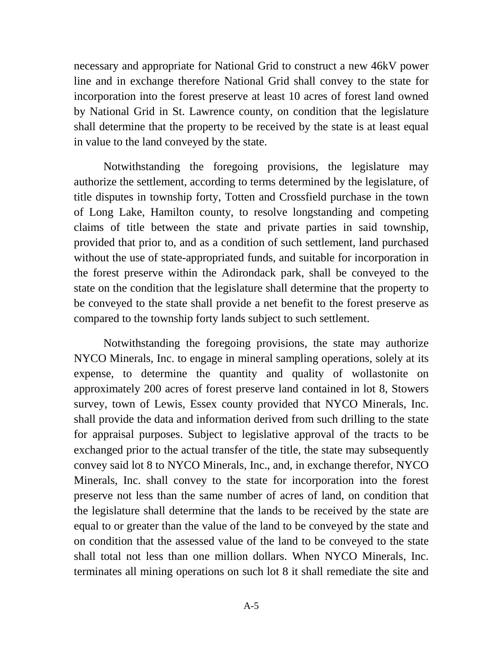necessary and appropriate for National Grid to construct a new 46kV power line and in exchange therefore National Grid shall convey to the state for incorporation into the forest preserve at least 10 acres of forest land owned by National Grid in St. Lawrence county, on condition that the legislature shall determine that the property to be received by the state is at least equal in value to the land conveyed by the state.

Notwithstanding the foregoing provisions, the legislature may authorize the settlement, according to terms determined by the legislature, of title disputes in township forty, Totten and Crossfield purchase in the town of Long Lake, Hamilton county, to resolve longstanding and competing claims of title between the state and private parties in said township, provided that prior to, and as a condition of such settlement, land purchased without the use of state-appropriated funds, and suitable for incorporation in the forest preserve within the Adirondack park, shall be conveyed to the state on the condition that the legislature shall determine that the property to be conveyed to the state shall provide a net benefit to the forest preserve as compared to the township forty lands subject to such settlement.

Notwithstanding the foregoing provisions, the state may authorize NYCO Minerals, Inc. to engage in mineral sampling operations, solely at its expense, to determine the quantity and quality of wollastonite on approximately 200 acres of forest preserve land contained in lot 8, Stowers survey, town of Lewis, Essex county provided that NYCO Minerals, Inc. shall provide the data and information derived from such drilling to the state for appraisal purposes. Subject to legislative approval of the tracts to be exchanged prior to the actual transfer of the title, the state may subsequently convey said lot 8 to NYCO Minerals, Inc., and, in exchange therefor, NYCO Minerals, Inc. shall convey to the state for incorporation into the forest preserve not less than the same number of acres of land, on condition that the legislature shall determine that the lands to be received by the state are equal to or greater than the value of the land to be conveyed by the state and on condition that the assessed value of the land to be conveyed to the state shall total not less than one million dollars. When NYCO Minerals, Inc. terminates all mining operations on such lot 8 it shall remediate the site and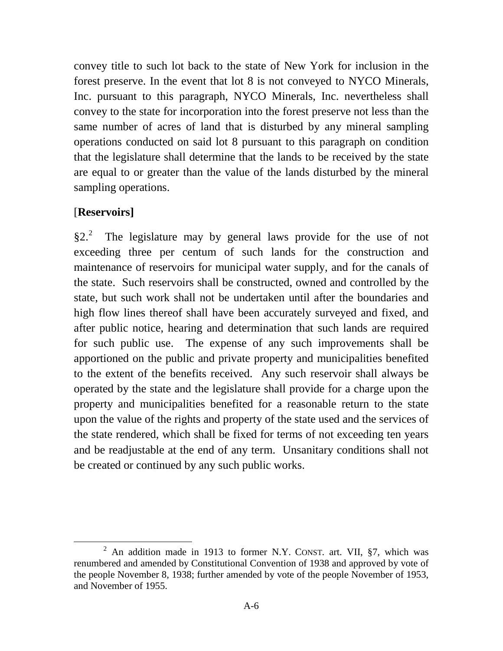convey title to such lot back to the state of New York for inclusion in the forest preserve. In the event that lot 8 is not conveyed to NYCO Minerals, Inc. pursuant to this paragraph, NYCO Minerals, Inc. nevertheless shall convey to the state for incorporation into the forest preserve not less than the same number of acres of land that is disturbed by any mineral sampling operations conducted on said lot 8 pursuant to this paragraph on condition that the legislature shall determine that the lands to be received by the state are equal to or greater than the value of the lands disturbed by the mineral sampling operations.

## [**Reservoirs]**

 $§2.<sup>2</sup>$  $§2.<sup>2</sup>$  $§2.<sup>2</sup>$  The legislature may by general laws provide for the use of not exceeding three per centum of such lands for the construction and maintenance of reservoirs for municipal water supply, and for the canals of the state. Such reservoirs shall be constructed, owned and controlled by the state, but such work shall not be undertaken until after the boundaries and high flow lines thereof shall have been accurately surveyed and fixed, and after public notice, hearing and determination that such lands are required for such public use. The expense of any such improvements shall be apportioned on the public and private property and municipalities benefited to the extent of the benefits received. Any such reservoir shall always be operated by the state and the legislature shall provide for a charge upon the property and municipalities benefited for a reasonable return to the state upon the value of the rights and property of the state used and the services of the state rendered, which shall be fixed for terms of not exceeding ten years and be readjustable at the end of any term. Unsanitary conditions shall not be created or continued by any such public works.

<span id="page-39-0"></span> $2$  An addition made in 1913 to former N.Y. CONST. art. VII, §7, which was renumbered and amended by Constitutional Convention of 1938 and approved by vote of the people November 8, 1938; further amended by vote of the people November of 1953, and November of 1955.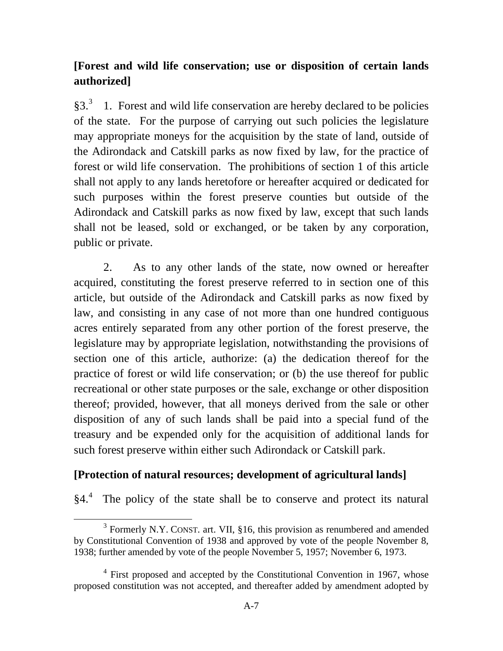## **[Forest and wild life conservation; use or disposition of certain lands authorized]**

§3.[3](#page-40-0) 1. Forest and wild life conservation are hereby declared to be policies of the state. For the purpose of carrying out such policies the legislature may appropriate moneys for the acquisition by the state of land, outside of the Adirondack and Catskill parks as now fixed by law, for the practice of forest or wild life conservation. The prohibitions of section 1 of this article shall not apply to any lands heretofore or hereafter acquired or dedicated for such purposes within the forest preserve counties but outside of the Adirondack and Catskill parks as now fixed by law, except that such lands shall not be leased, sold or exchanged, or be taken by any corporation, public or private.

2. As to any other lands of the state, now owned or hereafter acquired, constituting the forest preserve referred to in section one of this article, but outside of the Adirondack and Catskill parks as now fixed by law, and consisting in any case of not more than one hundred contiguous acres entirely separated from any other portion of the forest preserve, the legislature may by appropriate legislation, notwithstanding the provisions of section one of this article, authorize: (a) the dedication thereof for the practice of forest or wild life conservation; or (b) the use thereof for public recreational or other state purposes or the sale, exchange or other disposition thereof; provided, however, that all moneys derived from the sale or other disposition of any of such lands shall be paid into a special fund of the treasury and be expended only for the acquisition of additional lands for such forest preserve within either such Adirondack or Catskill park.

## **[Protection of natural resources; development of agricultural lands]**

§4.[4](#page-40-1) The policy of the state shall be to conserve and protect its natural

<span id="page-40-0"></span><sup>&</sup>lt;sup>3</sup> Formerly N.Y. CONST. art. VII, §16, this provision as renumbered and amended by Constitutional Convention of 1938 and approved by vote of the people November 8, 1938; further amended by vote of the people November 5, 1957; November 6, 1973.

<span id="page-40-1"></span> $4$  First proposed and accepted by the Constitutional Convention in 1967, whose proposed constitution was not accepted, and thereafter added by amendment adopted by